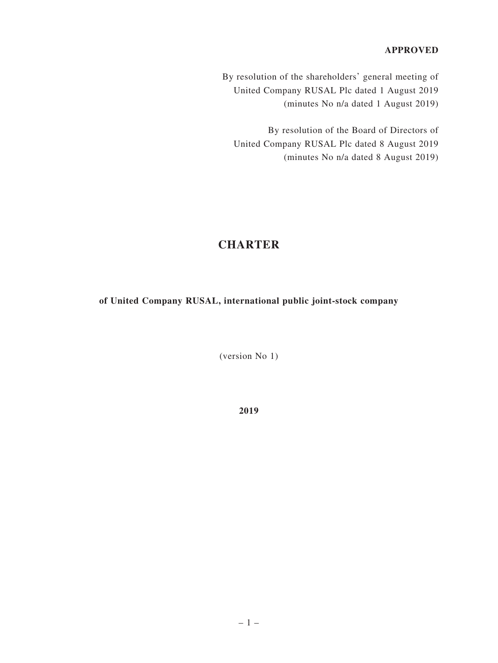#### **APPROVED**

By resolution of the shareholders' general meeting of United Company RUSAL Plc dated 1 August 2019 (minutes No n/a dated 1 August 2019)

By resolution of the Board of Directors of United Company RUSAL Plc dated 8 August 2019 (minutes No n/a dated 8 August 2019)

# **CHARTER**

**of United Company RUSAL, international public joint-stock company**

(version No 1)

**2019**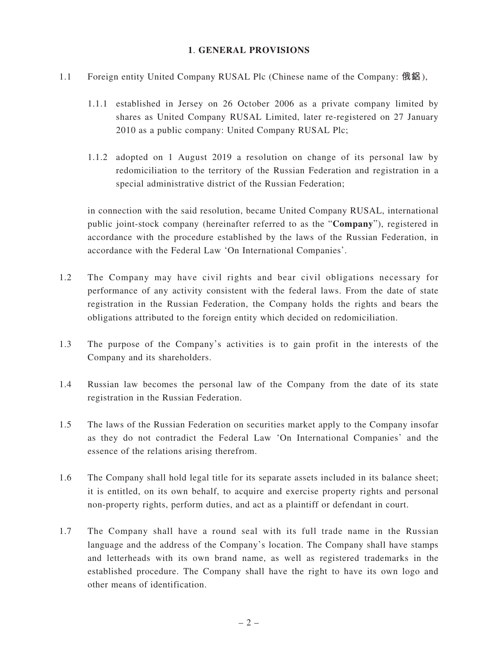#### **1**. **GENERAL PROVISIONS**

- 1.1 Foreign entity United Company RUSAL Plc (Chinese name of the Company: **俄鋁**),
	- 1.1.1 established in Jersey on 26 October 2006 as a private company limited by shares as United Company RUSAL Limited, later re-registered on 27 January 2010 as a public company: United Company RUSAL Plc;
	- 1.1.2 adopted on 1 August 2019 a resolution on change of its personal law by redomiciliation to the territory of the Russian Federation and registration in a special administrative district of the Russian Federation;

in connection with the said resolution, became United Company RUSAL, international public joint-stock company (hereinafter referred to as the "**Company**"), registered in accordance with the procedure established by the laws of the Russian Federation, in accordance with the Federal Law 'On International Companies'.

- 1.2 The Company may have civil rights and bear civil obligations necessary for performance of any activity consistent with the federal laws. From the date of state registration in the Russian Federation, the Company holds the rights and bears the obligations attributed to the foreign entity which decided on redomiciliation.
- 1.3 The purpose of the Company's activities is to gain profit in the interests of the Company and its shareholders.
- 1.4 Russian law becomes the personal law of the Company from the date of its state registration in the Russian Federation.
- 1.5 The laws of the Russian Federation on securities market apply to the Company insofar as they do not contradict the Federal Law 'On International Companies' and the essence of the relations arising therefrom.
- 1.6 The Company shall hold legal title for its separate assets included in its balance sheet; it is entitled, on its own behalf, to acquire and exercise property rights and personal non-property rights, perform duties, and act as a plaintiff or defendant in court.
- 1.7 The Company shall have a round seal with its full trade name in the Russian language and the address of the Company's location. The Company shall have stamps and letterheads with its own brand name, as well as registered trademarks in the established procedure. The Company shall have the right to have its own logo and other means of identification.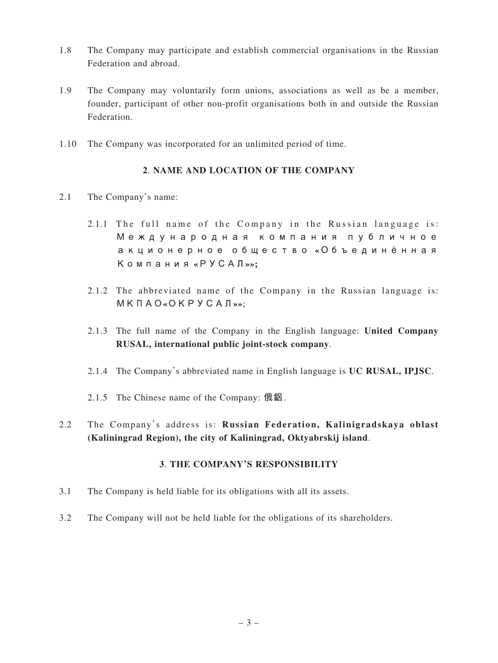- 1.8 The Company may participate and establish commercial organisations in the Russian Federation and abroad.
- 1.9 The Company may voluntarily form unions, associations as well as be a member, founder, participant of other non-profit organisations both in and outside the Russian Federation.
- 1.10 The Company was incorporated for an unlimited period of time.

#### **2**. **NAME AND LOCATION OF THE COMPANY**

- 2.1 The Company's name:
	- 2.1.1 The full name of the Company in the Russian language is: **Международная компания публичное акционерное общество «Объединённая Компания «РУСАЛ»»;**
	- 2.1.2 The abbreviated name of the Company in the Russian language is: **МКПАО«ОКРУСАЛ»»**;
	- 2.1.3 The full name of the Company in the English language: **United Company RUSAL, international public joint-stock company**.
	- 2.1.4 The Company's abbreviated name in English language is **UC RUSAL, IPJSC**.
	- 2.1.5 The Chinese name of the Company: **俄鋁**.
- 2.2 The Company's address is: **Russian Federation, Kalinigradskaya oblast (Kaliningrad Region), the city of Kaliningrad, Oktyabrskij island**.

#### **3**. **THE COMPANY'S RESPONSIBILITY**

- 3.1 The Company is held liable for its obligations with all its assets.
- 3.2 The Company will not be held liable for the obligations of its shareholders.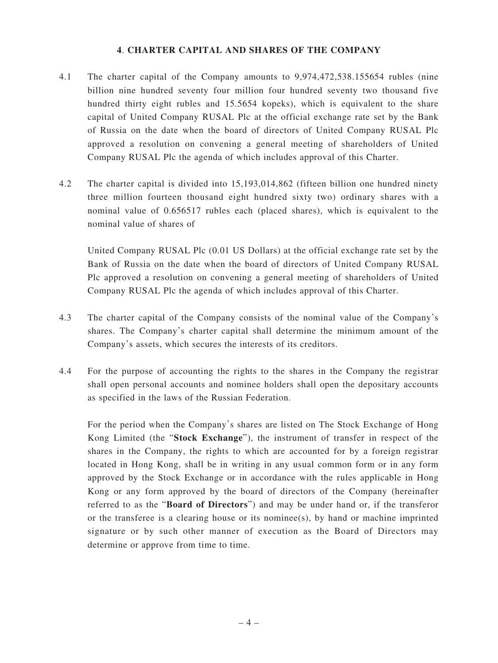#### **4**. **CHARTER CAPITAL AND SHARES OF THE COMPANY**

- 4.1 The charter capital of the Company amounts to 9,974,472,538.155654 rubles (nine billion nine hundred seventy four million four hundred seventy two thousand five hundred thirty eight rubles and 15.5654 kopeks), which is equivalent to the share capital of United Company RUSAL Plc at the official exchange rate set by the Bank of Russia on the date when the board of directors of United Company RUSAL Plc approved a resolution on convening a general meeting of shareholders of United Company RUSAL Plc the agenda of which includes approval of this Charter.
- 4.2 The charter capital is divided into 15,193,014,862 (fifteen billion one hundred ninety three million fourteen thousand eight hundred sixty two) ordinary shares with a nominal value of 0.656517 rubles each (placed shares), which is equivalent to the nominal value of shares of

United Company RUSAL Plc (0.01 US Dollars) at the official exchange rate set by the Bank of Russia on the date when the board of directors of United Company RUSAL Plc approved a resolution on convening a general meeting of shareholders of United Company RUSAL Plc the agenda of which includes approval of this Charter.

- 4.3 The charter capital of the Company consists of the nominal value of the Company's shares. The Company's charter capital shall determine the minimum amount of the Company's assets, which secures the interests of its creditors.
- 4.4 For the purpose of accounting the rights to the shares in the Company the registrar shall open personal accounts and nominee holders shall open the depositary accounts as specified in the laws of the Russian Federation.

For the period when the Company's shares are listed on The Stock Exchange of Hong Kong Limited (the "**Stock Exchange**"), the instrument of transfer in respect of the shares in the Company, the rights to which are accounted for by a foreign registrar located in Hong Kong, shall be in writing in any usual common form or in any form approved by the Stock Exchange or in accordance with the rules applicable in Hong Kong or any form approved by the board of directors of the Company (hereinafter referred to as the "**Board of Directors**") and may be under hand or, if the transferor or the transferee is a clearing house or its nominee(s), by hand or machine imprinted signature or by such other manner of execution as the Board of Directors may determine or approve from time to time.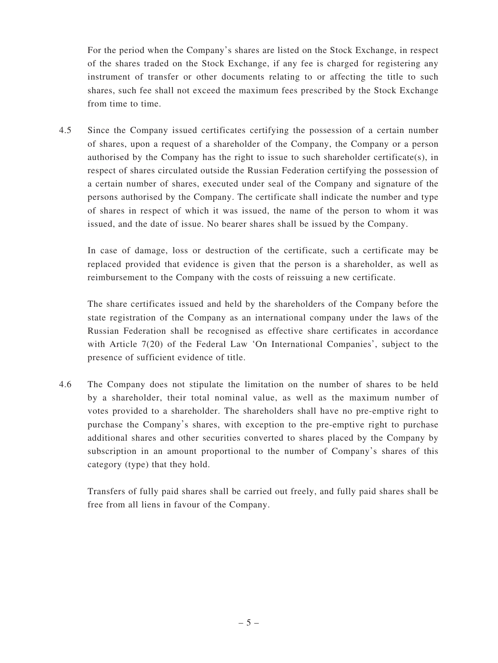For the period when the Company's shares are listed on the Stock Exchange, in respect of the shares traded on the Stock Exchange, if any fee is charged for registering any instrument of transfer or other documents relating to or affecting the title to such shares, such fee shall not exceed the maximum fees prescribed by the Stock Exchange from time to time.

4.5 Since the Company issued certificates certifying the possession of a certain number of shares, upon a request of a shareholder of the Company, the Company or a person authorised by the Company has the right to issue to such shareholder certificate(s), in respect of shares circulated outside the Russian Federation certifying the possession of a certain number of shares, executed under seal of the Company and signature of the persons authorised by the Company. The certificate shall indicate the number and type of shares in respect of which it was issued, the name of the person to whom it was issued, and the date of issue. No bearer shares shall be issued by the Company.

In case of damage, loss or destruction of the certificate, such a certificate may be replaced provided that evidence is given that the person is a shareholder, as well as reimbursement to the Company with the costs of reissuing a new certificate.

The share certificates issued and held by the shareholders of the Company before the state registration of the Company as an international company under the laws of the Russian Federation shall be recognised as effective share certificates in accordance with Article 7(20) of the Federal Law 'On International Companies', subject to the presence of sufficient evidence of title.

4.6 The Company does not stipulate the limitation on the number of shares to be held by a shareholder, their total nominal value, as well as the maximum number of votes provided to a shareholder. The shareholders shall have no pre-emptive right to purchase the Company's shares, with exception to the pre-emptive right to purchase additional shares and other securities converted to shares placed by the Company by subscription in an amount proportional to the number of Company's shares of this category (type) that they hold.

Transfers of fully paid shares shall be carried out freely, and fully paid shares shall be free from all liens in favour of the Company.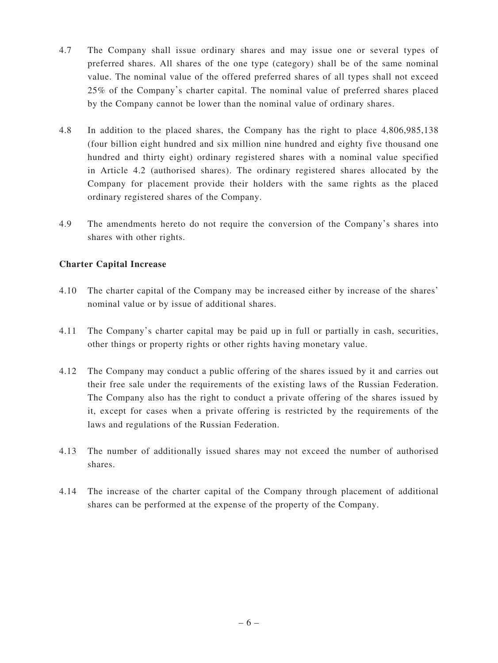- 4.7 The Company shall issue ordinary shares and may issue one or several types of preferred shares. All shares of the one type (category) shall be of the same nominal value. The nominal value of the offered preferred shares of all types shall not exceed 25% of the Company's charter capital. The nominal value of preferred shares placed by the Company cannot be lower than the nominal value of ordinary shares.
- 4.8 In addition to the placed shares, the Company has the right to place 4,806,985,138 (four billion eight hundred and six million nine hundred and eighty five thousand one hundred and thirty eight) ordinary registered shares with a nominal value specified in Article 4.2 (authorised shares). The ordinary registered shares allocated by the Company for placement provide their holders with the same rights as the placed ordinary registered shares of the Company.
- 4.9 The amendments hereto do not require the conversion of the Company's shares into shares with other rights.

## **Charter Capital Increase**

- 4.10 The charter capital of the Company may be increased either by increase of the shares' nominal value or by issue of additional shares.
- 4.11 The Company's charter capital may be paid up in full or partially in cash, securities, other things or property rights or other rights having monetary value.
- 4.12 The Company may conduct a public offering of the shares issued by it and carries out their free sale under the requirements of the existing laws of the Russian Federation. The Company also has the right to conduct a private offering of the shares issued by it, except for cases when a private offering is restricted by the requirements of the laws and regulations of the Russian Federation.
- 4.13 The number of additionally issued shares may not exceed the number of authorised shares.
- 4.14 The increase of the charter capital of the Company through placement of additional shares can be performed at the expense of the property of the Company.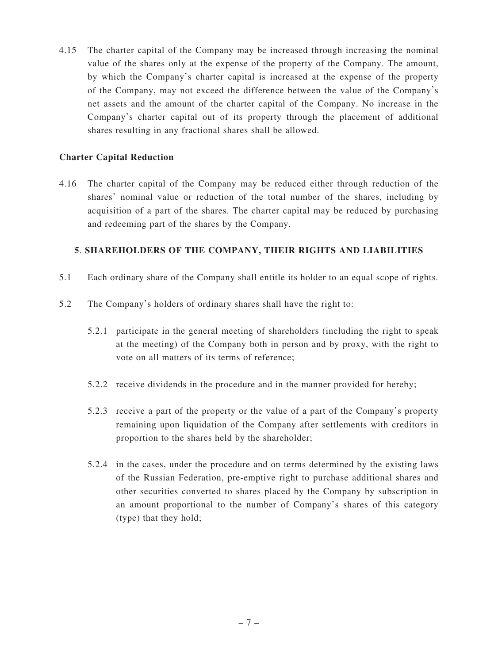4.15 The charter capital of the Company may be increased through increasing the nominal value of the shares only at the expense of the property of the Company. The amount, by which the Company's charter capital is increased at the expense of the property of the Company, may not exceed the difference between the value of the Company's net assets and the amount of the charter capital of the Company. No increase in the Company's charter capital out of its property through the placement of additional shares resulting in any fractional shares shall be allowed.

## **Charter Capital Reduction**

4.16 The charter capital of the Company may be reduced either through reduction of the shares' nominal value or reduction of the total number of the shares, including by acquisition of a part of the shares. The charter capital may be reduced by purchasing and redeeming part of the shares by the Company.

## **5**. **SHAREHOLDERS OF THE COMPANY, THEIR RIGHTS AND LIABILITIES**

- 5.1 Each ordinary share of the Company shall entitle its holder to an equal scope of rights.
- 5.2 The Company's holders of ordinary shares shall have the right to:
	- 5.2.1 participate in the general meeting of shareholders (including the right to speak at the meeting) of the Company both in person and by proxy, with the right to vote on all matters of its terms of reference;
	- 5.2.2 receive dividends in the procedure and in the manner provided for hereby;
	- 5.2.3 receive a part of the property or the value of a part of the Company's property remaining upon liquidation of the Company after settlements with creditors in proportion to the shares held by the shareholder;
	- 5.2.4 in the cases, under the procedure and on terms determined by the existing laws of the Russian Federation, pre-emptive right to purchase additional shares and other securities converted to shares placed by the Company by subscription in an amount proportional to the number of Company's shares of this category (type) that they hold;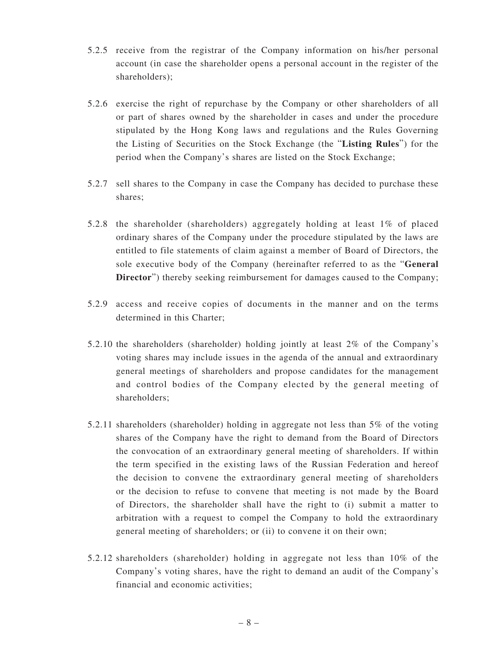- 5.2.5 receive from the registrar of the Company information on his/her personal account (in case the shareholder opens a personal account in the register of the shareholders);
- 5.2.6 exercise the right of repurchase by the Company or other shareholders of all or part of shares owned by the shareholder in cases and under the procedure stipulated by the Hong Kong laws and regulations and the Rules Governing the Listing of Securities on the Stock Exchange (the "**Listing Rules**") for the period when the Company's shares are listed on the Stock Exchange;
- 5.2.7 sell shares to the Company in case the Company has decided to purchase these shares;
- 5.2.8 the shareholder (shareholders) aggregately holding at least 1% of placed ordinary shares of the Company under the procedure stipulated by the laws are entitled to file statements of claim against a member of Board of Directors, the sole executive body of the Company (hereinafter referred to as the "**General Director**") thereby seeking reimbursement for damages caused to the Company;
- 5.2.9 access and receive copies of documents in the manner and on the terms determined in this Charter;
- 5.2.10 the shareholders (shareholder) holding jointly at least 2% of the Company's voting shares may include issues in the agenda of the annual and extraordinary general meetings of shareholders and propose candidates for the management and control bodies of the Company elected by the general meeting of shareholders;
- 5.2.11 shareholders (shareholder) holding in aggregate not less than 5% of the voting shares of the Company have the right to demand from the Board of Directors the convocation of an extraordinary general meeting of shareholders. If within the term specified in the existing laws of the Russian Federation and hereof the decision to convene the extraordinary general meeting of shareholders or the decision to refuse to convene that meeting is not made by the Board of Directors, the shareholder shall have the right to (i) submit a matter to arbitration with a request to compel the Company to hold the extraordinary general meeting of shareholders; or (ii) to convene it on their own;
- 5.2.12 shareholders (shareholder) holding in aggregate not less than 10% of the Company's voting shares, have the right to demand an audit of the Company's financial and economic activities;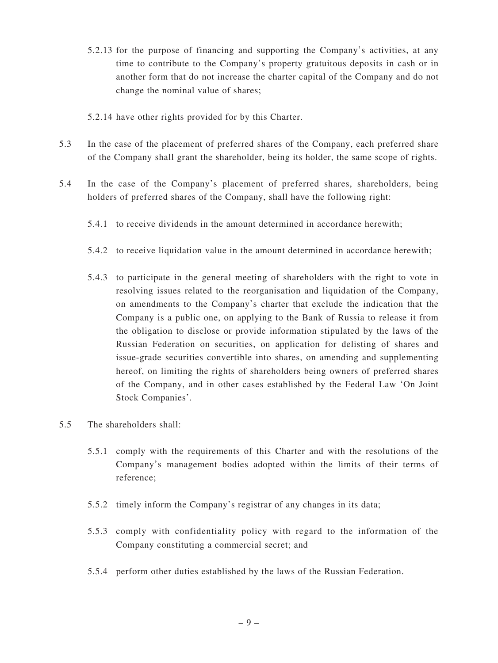- 5.2.13 for the purpose of financing and supporting the Company's activities, at any time to contribute to the Company's property gratuitous deposits in cash or in another form that do not increase the charter capital of the Company and do not change the nominal value of shares;
- 5.2.14 have other rights provided for by this Charter.
- 5.3 In the case of the placement of preferred shares of the Company, each preferred share of the Company shall grant the shareholder, being its holder, the same scope of rights.
- 5.4 In the case of the Company's placement of preferred shares, shareholders, being holders of preferred shares of the Company, shall have the following right:
	- 5.4.1 to receive dividends in the amount determined in accordance herewith;
	- 5.4.2 to receive liquidation value in the amount determined in accordance herewith;
	- 5.4.3 to participate in the general meeting of shareholders with the right to vote in resolving issues related to the reorganisation and liquidation of the Company, on amendments to the Company's charter that exclude the indication that the Company is a public one, on applying to the Bank of Russia to release it from the obligation to disclose or provide information stipulated by the laws of the Russian Federation on securities, on application for delisting of shares and issue-grade securities convertible into shares, on amending and supplementing hereof, on limiting the rights of shareholders being owners of preferred shares of the Company, and in other cases established by the Federal Law 'On Joint Stock Companies'.
- 5.5 The shareholders shall:
	- 5.5.1 comply with the requirements of this Charter and with the resolutions of the Company's management bodies adopted within the limits of their terms of reference;
	- 5.5.2 timely inform the Company's registrar of any changes in its data;
	- 5.5.3 comply with confidentiality policy with regard to the information of the Company constituting a commercial secret; and
	- 5.5.4 perform other duties established by the laws of the Russian Federation.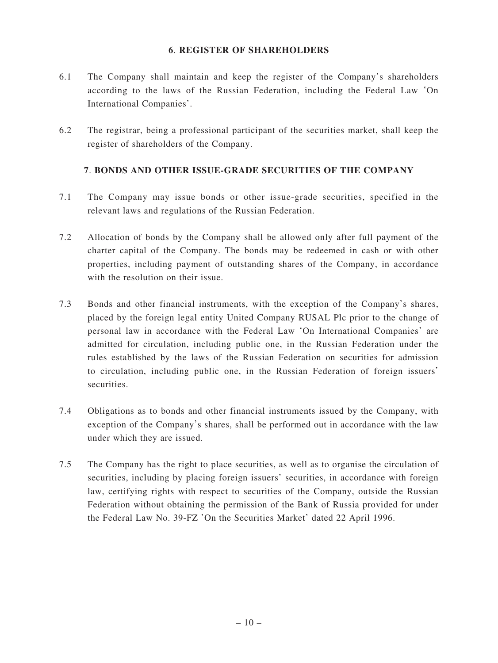#### **6**. **REGISTER OF SHAREHOLDERS**

- 6.1 The Company shall maintain and keep the register of the Company's shareholders according to the laws of the Russian Federation, including the Federal Law 'On International Companies'.
- 6.2 The registrar, being a professional participant of the securities market, shall keep the register of shareholders of the Company.

#### **7**. **BONDS AND OTHER ISSUE-GRADE SECURITIES OF THE COMPANY**

- 7.1 The Company may issue bonds or other issue-grade securities, specified in the relevant laws and regulations of the Russian Federation.
- 7.2 Allocation of bonds by the Company shall be allowed only after full payment of the charter capital of the Company. The bonds may be redeemed in cash or with other properties, including payment of outstanding shares of the Company, in accordance with the resolution on their issue.
- 7.3 Bonds and other financial instruments, with the exception of the Company's shares, placed by the foreign legal entity United Company RUSAL Plc prior to the change of personal law in accordance with the Federal Law 'On International Companies' are admitted for circulation, including public one, in the Russian Federation under the rules established by the laws of the Russian Federation on securities for admission to circulation, including public one, in the Russian Federation of foreign issuers' securities.
- 7.4 Obligations as to bonds and other financial instruments issued by the Company, with exception of the Company's shares, shall be performed out in accordance with the law under which they are issued.
- 7.5 The Company has the right to place securities, as well as to organise the circulation of securities, including by placing foreign issuers' securities, in accordance with foreign law, certifying rights with respect to securities of the Company, outside the Russian Federation without obtaining the permission of the Bank of Russia provided for under the Federal Law No. 39-FZ 'On the Securities Market' dated 22 April 1996.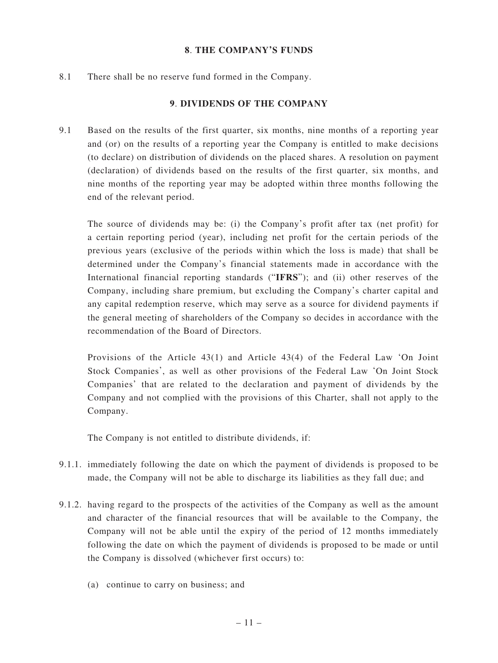#### **8**. **THE COMPANY'S FUNDS**

8.1 There shall be no reserve fund formed in the Company.

#### **9**. **DIVIDENDS OF THE COMPANY**

9.1 Based on the results of the first quarter, six months, nine months of a reporting year and (or) on the results of a reporting year the Company is entitled to make decisions (to declare) on distribution of dividends on the placed shares. A resolution on payment (declaration) of dividends based on the results of the first quarter, six months, and nine months of the reporting year may be adopted within three months following the end of the relevant period.

The source of dividends may be: (i) the Company's profit after tax (net profit) for a certain reporting period (year), including net profit for the certain periods of the previous years (exclusive of the periods within which the loss is made) that shall be determined under the Company's financial statements made in accordance with the International financial reporting standards ("**IFRS**"); and (ii) other reserves of the Company, including share premium, but excluding the Company's charter capital and any capital redemption reserve, which may serve as a source for dividend payments if the general meeting of shareholders of the Company so decides in accordance with the recommendation of the Board of Directors.

Provisions of the Article 43(1) and Article 43(4) of the Federal Law 'On Joint Stock Companies', as well as other provisions of the Federal Law 'On Joint Stock Companies' that are related to the declaration and payment of dividends by the Company and not complied with the provisions of this Charter, shall not apply to the Company.

The Company is not entitled to distribute dividends, if:

- 9.1.1. immediately following the date on which the payment of dividends is proposed to be made, the Company will not be able to discharge its liabilities as they fall due; and
- 9.1.2. having regard to the prospects of the activities of the Company as well as the amount and character of the financial resources that will be available to the Company, the Company will not be able until the expiry of the period of 12 months immediately following the date on which the payment of dividends is proposed to be made or until the Company is dissolved (whichever first occurs) to:
	- (a) continue to carry on business; and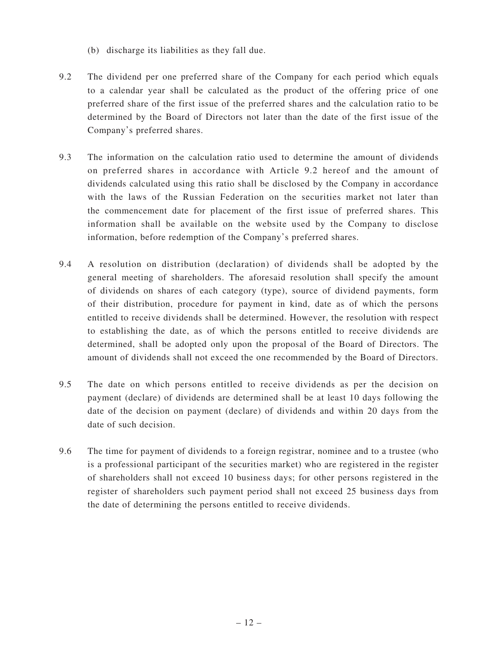- (b) discharge its liabilities as they fall due.
- 9.2 The dividend per one preferred share of the Company for each period which equals to a calendar year shall be calculated as the product of the offering price of one preferred share of the first issue of the preferred shares and the calculation ratio to be determined by the Board of Directors not later than the date of the first issue of the Company's preferred shares.
- 9.3 The information on the calculation ratio used to determine the amount of dividends on preferred shares in accordance with Article 9.2 hereof and the amount of dividends calculated using this ratio shall be disclosed by the Company in accordance with the laws of the Russian Federation on the securities market not later than the commencement date for placement of the first issue of preferred shares. This information shall be available on the website used by the Company to disclose information, before redemption of the Company's preferred shares.
- 9.4 A resolution on distribution (declaration) of dividends shall be adopted by the general meeting of shareholders. The aforesaid resolution shall specify the amount of dividends on shares of each category (type), source of dividend payments, form of their distribution, procedure for payment in kind, date as of which the persons entitled to receive dividends shall be determined. However, the resolution with respect to establishing the date, as of which the persons entitled to receive dividends are determined, shall be adopted only upon the proposal of the Board of Directors. The amount of dividends shall not exceed the one recommended by the Board of Directors.
- 9.5 The date on which persons entitled to receive dividends as per the decision on payment (declare) of dividends are determined shall be at least 10 days following the date of the decision on payment (declare) of dividends and within 20 days from the date of such decision.
- 9.6 The time for payment of dividends to a foreign registrar, nominee and to a trustee (who is a professional participant of the securities market) who are registered in the register of shareholders shall not exceed 10 business days; for other persons registered in the register of shareholders such payment period shall not exceed 25 business days from the date of determining the persons entitled to receive dividends.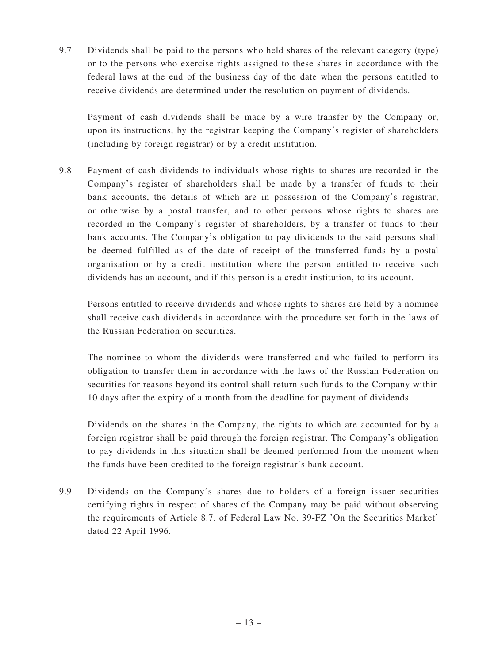9.7 Dividends shall be paid to the persons who held shares of the relevant category (type) or to the persons who exercise rights assigned to these shares in accordance with the federal laws at the end of the business day of the date when the persons entitled to receive dividends are determined under the resolution on payment of dividends.

Payment of cash dividends shall be made by a wire transfer by the Company or, upon its instructions, by the registrar keeping the Company's register of shareholders (including by foreign registrar) or by a credit institution.

9.8 Payment of cash dividends to individuals whose rights to shares are recorded in the Company's register of shareholders shall be made by a transfer of funds to their bank accounts, the details of which are in possession of the Company's registrar, or otherwise by a postal transfer, and to other persons whose rights to shares are recorded in the Company's register of shareholders, by a transfer of funds to their bank accounts. The Company's obligation to pay dividends to the said persons shall be deemed fulfilled as of the date of receipt of the transferred funds by a postal organisation or by a credit institution where the person entitled to receive such dividends has an account, and if this person is a credit institution, to its account.

Persons entitled to receive dividends and whose rights to shares are held by a nominee shall receive cash dividends in accordance with the procedure set forth in the laws of the Russian Federation on securities.

The nominee to whom the dividends were transferred and who failed to perform its obligation to transfer them in accordance with the laws of the Russian Federation on securities for reasons beyond its control shall return such funds to the Company within 10 days after the expiry of a month from the deadline for payment of dividends.

Dividends on the shares in the Company, the rights to which are accounted for by a foreign registrar shall be paid through the foreign registrar. The Company's obligation to pay dividends in this situation shall be deemed performed from the moment when the funds have been credited to the foreign registrar's bank account.

9.9 Dividends on the Company's shares due to holders of a foreign issuer securities certifying rights in respect of shares of the Company may be paid without observing the requirements of Article 8.7. of Federal Law No. 39-FZ 'On the Securities Market' dated 22 April 1996.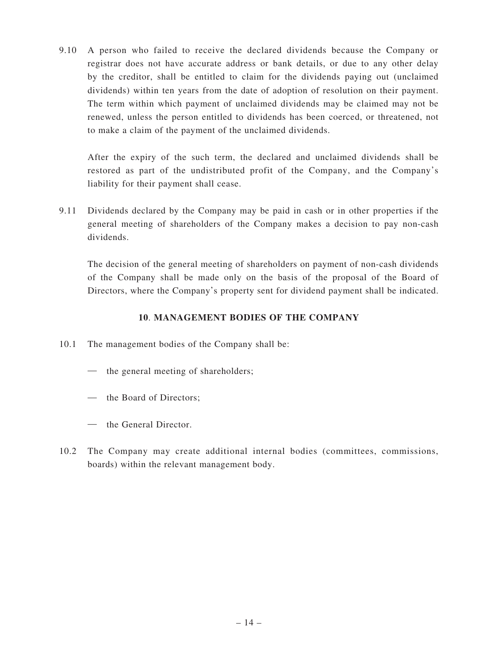9.10 A person who failed to receive the declared dividends because the Company or registrar does not have accurate address or bank details, or due to any other delay by the creditor, shall be entitled to claim for the dividends paying out (unclaimed dividends) within ten years from the date of adoption of resolution on their payment. The term within which payment of unclaimed dividends may be claimed may not be renewed, unless the person entitled to dividends has been coerced, or threatened, not to make a claim of the payment of the unclaimed dividends.

After the expiry of the such term, the declared and unclaimed dividends shall be restored as part of the undistributed profit of the Company, and the Company's liability for their payment shall cease.

9.11 Dividends declared by the Company may be paid in cash or in other properties if the general meeting of shareholders of the Company makes a decision to pay non-cash dividends.

The decision of the general meeting of shareholders on payment of non-cash dividends of the Company shall be made only on the basis of the proposal of the Board of Directors, where the Company's property sent for dividend payment shall be indicated.

## **10**. **MANAGEMENT BODIES OF THE COMPANY**

- 10.1 The management bodies of the Company shall be:
	- the general meeting of shareholders;
	- the Board of Directors;
	- the General Director.
- 10.2 The Company may create additional internal bodies (committees, commissions, boards) within the relevant management body.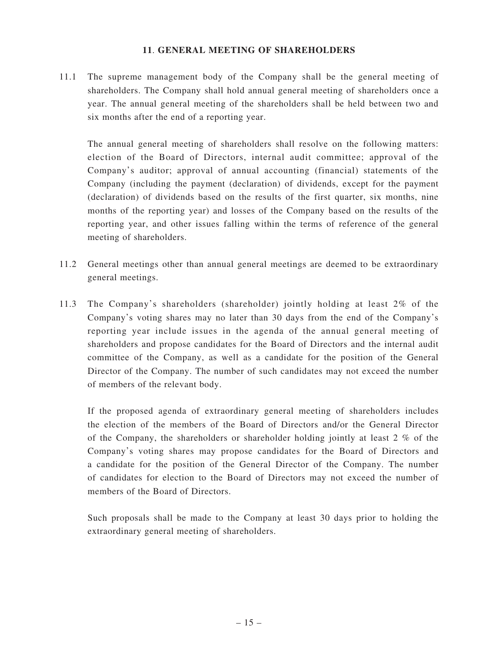#### **11**. **GENERAL MEETING OF SHAREHOLDERS**

11.1 The supreme management body of the Company shall be the general meeting of shareholders. The Company shall hold annual general meeting of shareholders once a year. The annual general meeting of the shareholders shall be held between two and six months after the end of a reporting year.

The annual general meeting of shareholders shall resolve on the following matters: election of the Board of Directors, internal audit committee; approval of the Company's auditor; approval of annual accounting (financial) statements of the Company (including the payment (declaration) of dividends, except for the payment (declaration) of dividends based on the results of the first quarter, six months, nine months of the reporting year) and losses of the Company based on the results of the reporting year, and other issues falling within the terms of reference of the general meeting of shareholders.

- 11.2 General meetings other than annual general meetings are deemed to be extraordinary general meetings.
- 11.3 The Company's shareholders (shareholder) jointly holding at least 2% of the Company's voting shares may no later than 30 days from the end of the Company's reporting year include issues in the agenda of the annual general meeting of shareholders and propose candidates for the Board of Directors and the internal audit committee of the Company, as well as a candidate for the position of the General Director of the Company. The number of such candidates may not exceed the number of members of the relevant body.

If the proposed agenda of extraordinary general meeting of shareholders includes the election of the members of the Board of Directors and/or the General Director of the Company, the shareholders or shareholder holding jointly at least 2 % of the Company's voting shares may propose candidates for the Board of Directors and a candidate for the position of the General Director of the Company. The number of candidates for election to the Board of Directors may not exceed the number of members of the Board of Directors.

Such proposals shall be made to the Company at least 30 days prior to holding the extraordinary general meeting of shareholders.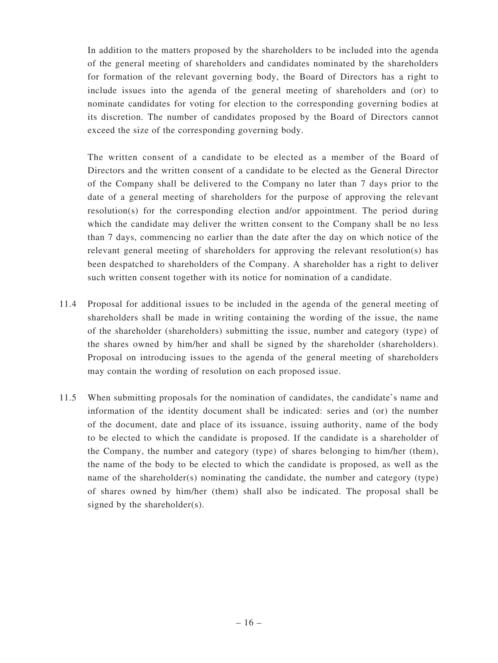In addition to the matters proposed by the shareholders to be included into the agenda of the general meeting of shareholders and candidates nominated by the shareholders for formation of the relevant governing body, the Board of Directors has a right to include issues into the agenda of the general meeting of shareholders and (or) to nominate candidates for voting for election to the corresponding governing bodies at its discretion. The number of candidates proposed by the Board of Directors cannot exceed the size of the corresponding governing body.

The written consent of a candidate to be elected as a member of the Board of Directors and the written consent of a candidate to be elected as the General Director of the Company shall be delivered to the Company no later than 7 days prior to the date of a general meeting of shareholders for the purpose of approving the relevant resolution(s) for the corresponding election and/or appointment. The period during which the candidate may deliver the written consent to the Company shall be no less than 7 days, commencing no earlier than the date after the day on which notice of the relevant general meeting of shareholders for approving the relevant resolution(s) has been despatched to shareholders of the Company. A shareholder has a right to deliver such written consent together with its notice for nomination of a candidate.

- 11.4 Proposal for additional issues to be included in the agenda of the general meeting of shareholders shall be made in writing containing the wording of the issue, the name of the shareholder (shareholders) submitting the issue, number and category (type) of the shares owned by him/her and shall be signed by the shareholder (shareholders). Proposal on introducing issues to the agenda of the general meeting of shareholders may contain the wording of resolution on each proposed issue.
- 11.5 When submitting proposals for the nomination of candidates, the candidate's name and information of the identity document shall be indicated: series and (or) the number of the document, date and place of its issuance, issuing authority, name of the body to be elected to which the candidate is proposed. If the candidate is a shareholder of the Company, the number and category (type) of shares belonging to him/her (them), the name of the body to be elected to which the candidate is proposed, as well as the name of the shareholder(s) nominating the candidate, the number and category (type) of shares owned by him/her (them) shall also be indicated. The proposal shall be signed by the shareholder(s).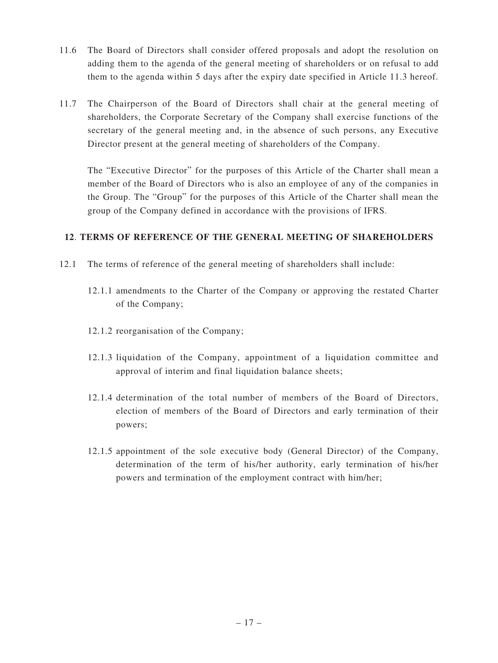- 11.6 The Board of Directors shall consider offered proposals and adopt the resolution on adding them to the agenda of the general meeting of shareholders or on refusal to add them to the agenda within 5 days after the expiry date specified in Article 11.3 hereof.
- 11.7 The Chairperson of the Board of Directors shall chair at the general meeting of shareholders, the Corporate Secretary of the Company shall exercise functions of the secretary of the general meeting and, in the absence of such persons, any Executive Director present at the general meeting of shareholders of the Company.

The "Executive Director" for the purposes of this Article of the Charter shall mean a member of the Board of Directors who is also an employee of any of the companies in the Group. The "Group" for the purposes of this Article of the Charter shall mean the group of the Company defined in accordance with the provisions of IFRS.

# **12**. **TERMS OF REFERENCE OF THE GENERAL MEETING OF SHAREHOLDERS**

- 12.1 The terms of reference of the general meeting of shareholders shall include:
	- 12.1.1 amendments to the Charter of the Company or approving the restated Charter of the Company;
	- 12.1.2 reorganisation of the Company;
	- 12.1.3 liquidation of the Company, appointment of a liquidation committee and approval of interim and final liquidation balance sheets;
	- 12.1.4 determination of the total number of members of the Board of Directors, election of members of the Board of Directors and early termination of their powers;
	- 12.1.5 appointment of the sole executive body (General Director) of the Company, determination of the term of his/her authority, early termination of his/her powers and termination of the employment contract with him/her;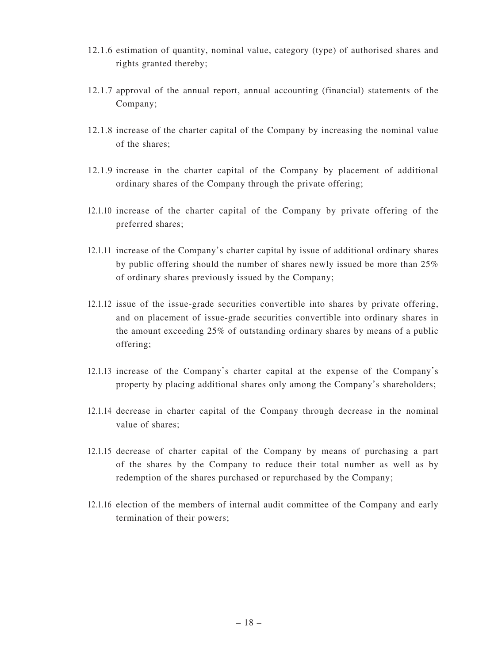- 12.1.6 estimation of quantity, nominal value, category (type) of authorised shares and rights granted thereby;
- 12.1.7 approval of the annual report, annual accounting (financial) statements of the Company;
- 12.1.8 increase of the charter capital of the Company by increasing the nominal value of the shares;
- 12.1.9 increase in the charter capital of the Company by placement of additional ordinary shares of the Company through the private offering;
- 12.1.10 increase of the charter capital of the Company by private offering of the preferred shares;
- 12.1.11 increase of the Company's charter capital by issue of additional ordinary shares by public offering should the number of shares newly issued be more than 25% of ordinary shares previously issued by the Company;
- 12.1.12 issue of the issue-grade securities convertible into shares by private offering, and on placement of issue-grade securities convertible into ordinary shares in the amount exceeding 25% of outstanding ordinary shares by means of a public offering;
- 12.1.13 increase of the Company's charter capital at the expense of the Company's property by placing additional shares only among the Company's shareholders;
- 12.1.14 decrease in charter capital of the Company through decrease in the nominal value of shares;
- 12.1.15 decrease of charter capital of the Company by means of purchasing a part of the shares by the Company to reduce their total number as well as by redemption of the shares purchased or repurchased by the Company;
- 12.1.16 election of the members of internal audit committee of the Company and early termination of their powers;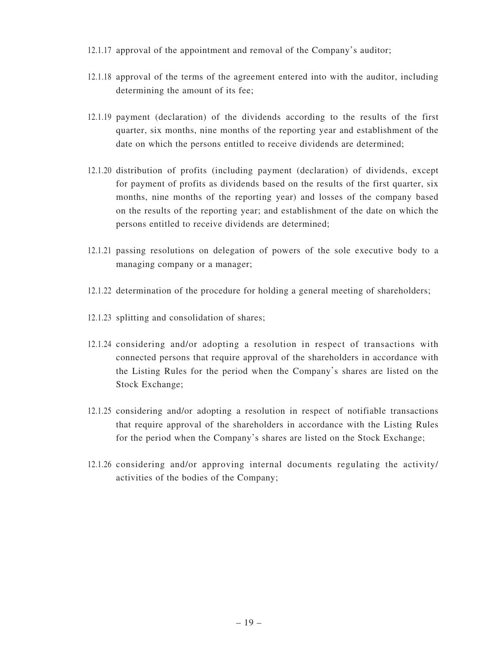- 12.1.17 approval of the appointment and removal of the Company's auditor;
- 12.1.18 approval of the terms of the agreement entered into with the auditor, including determining the amount of its fee;
- 12.1.19 payment (declaration) of the dividends according to the results of the first quarter, six months, nine months of the reporting year and establishment of the date on which the persons entitled to receive dividends are determined;
- 12.1.20 distribution of profits (including payment (declaration) of dividends, except for payment of profits as dividends based on the results of the first quarter, six months, nine months of the reporting year) and losses of the company based on the results of the reporting year; and establishment of the date on which the persons entitled to receive dividends are determined;
- 12.1.21 passing resolutions on delegation of powers of the sole executive body to a managing company or a manager;
- 12.1.22 determination of the procedure for holding a general meeting of shareholders;
- 12.1.23 splitting and consolidation of shares;
- 12.1.24 considering and/or adopting a resolution in respect of transactions with connected persons that require approval of the shareholders in accordance with the Listing Rules for the period when the Company's shares are listed on the Stock Exchange;
- 12.1.25 considering and/or adopting a resolution in respect of notifiable transactions that require approval of the shareholders in accordance with the Listing Rules for the period when the Company's shares are listed on the Stock Exchange;
- 12.1.26 considering and/or approving internal documents regulating the activity/ activities of the bodies of the Company;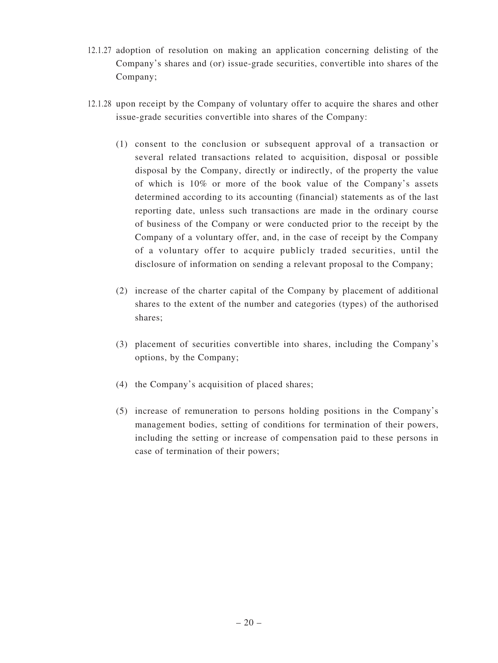- 12.1.27 adoption of resolution on making an application concerning delisting of the Company's shares and (or) issue-grade securities, convertible into shares of the Company;
- 12.1.28 upon receipt by the Company of voluntary offer to acquire the shares and other issue-grade securities convertible into shares of the Company:
	- (1) consent to the conclusion or subsequent approval of a transaction or several related transactions related to acquisition, disposal or possible disposal by the Company, directly or indirectly, of the property the value of which is 10% or more of the book value of the Company's assets determined according to its accounting (financial) statements as of the last reporting date, unless such transactions are made in the ordinary course of business of the Company or were conducted prior to the receipt by the Company of a voluntary offer, and, in the case of receipt by the Company of a voluntary offer to acquire publicly traded securities, until the disclosure of information on sending a relevant proposal to the Company;
	- (2) increase of the charter capital of the Company by placement of additional shares to the extent of the number and categories (types) of the authorised shares;
	- (3) placement of securities convertible into shares, including the Company's options, by the Company;
	- (4) the Company's acquisition of placed shares;
	- (5) increase of remuneration to persons holding positions in the Company's management bodies, setting of conditions for termination of their powers, including the setting or increase of compensation paid to these persons in case of termination of their powers;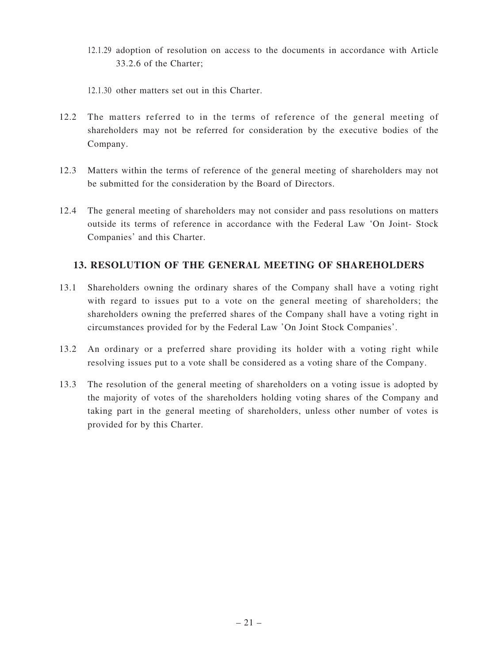- 12.1.29 adoption of resolution on access to the documents in accordance with Article 33.2.6 of the Charter;
- 12.1.30 other matters set out in this Charter.
- 12.2 The matters referred to in the terms of reference of the general meeting of shareholders may not be referred for consideration by the executive bodies of the Company.
- 12.3 Matters within the terms of reference of the general meeting of shareholders may not be submitted for the consideration by the Board of Directors.
- 12.4 The general meeting of shareholders may not consider and pass resolutions on matters outside its terms of reference in accordance with the Federal Law 'On Joint- Stock Companies' and this Charter.

# **13. RESOLUTION OF THE GENERAL MEETING OF SHAREHOLDERS**

- 13.1 Shareholders owning the ordinary shares of the Company shall have a voting right with regard to issues put to a vote on the general meeting of shareholders; the shareholders owning the preferred shares of the Company shall have a voting right in circumstances provided for by the Federal Law 'On Joint Stock Companies'.
- 13.2 An ordinary or a preferred share providing its holder with a voting right while resolving issues put to a vote shall be considered as a voting share of the Company.
- 13.3 The resolution of the general meeting of shareholders on a voting issue is adopted by the majority of votes of the shareholders holding voting shares of the Company and taking part in the general meeting of shareholders, unless other number of votes is provided for by this Charter.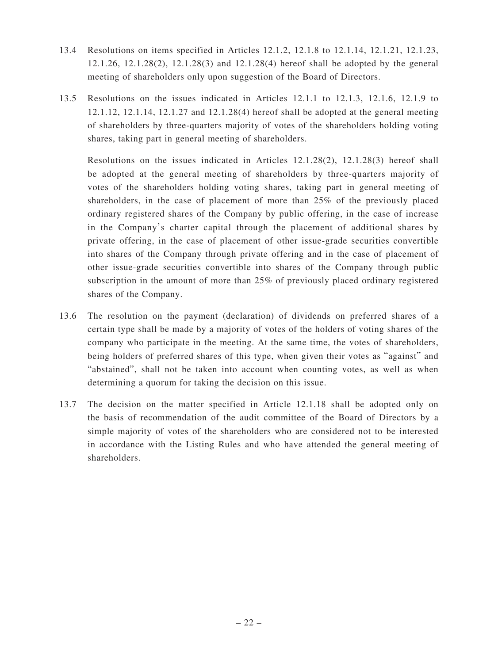- 13.4 Resolutions on items specified in Articles 12.1.2, 12.1.8 to 12.1.14, 12.1.21, 12.1.23, 12.1.26, 12.1.28(2), 12.1.28(3) and 12.1.28(4) hereof shall be adopted by the general meeting of shareholders only upon suggestion of the Board of Directors.
- 13.5 Resolutions on the issues indicated in Articles 12.1.1 to 12.1.3, 12.1.6, 12.1.9 to 12.1.12, 12.1.14, 12.1.27 and 12.1.28(4) hereof shall be adopted at the general meeting of shareholders by three-quarters majority of votes of the shareholders holding voting shares, taking part in general meeting of shareholders.

 Resolutions on the issues indicated in Articles 12.1.28(2), 12.1.28(3) hereof shall be adopted at the general meeting of shareholders by three-quarters majority of votes of the shareholders holding voting shares, taking part in general meeting of shareholders, in the case of placement of more than 25% of the previously placed ordinary registered shares of the Company by public offering, in the case of increase in the Company's charter capital through the placement of additional shares by private offering, in the case of placement of other issue-grade securities convertible into shares of the Company through private offering and in the case of placement of other issue-grade securities convertible into shares of the Company through public subscription in the amount of more than 25% of previously placed ordinary registered shares of the Company.

- 13.6 The resolution on the payment (declaration) of dividends on preferred shares of a certain type shall be made by a majority of votes of the holders of voting shares of the company who participate in the meeting. At the same time, the votes of shareholders, being holders of preferred shares of this type, when given their votes as "against" and "abstained", shall not be taken into account when counting votes, as well as when determining a quorum for taking the decision on this issue.
- 13.7 The decision on the matter specified in Article 12.1.18 shall be adopted only on the basis of recommendation of the audit committee of the Board of Directors by a simple majority of votes of the shareholders who are considered not to be interested in accordance with the Listing Rules and who have attended the general meeting of shareholders.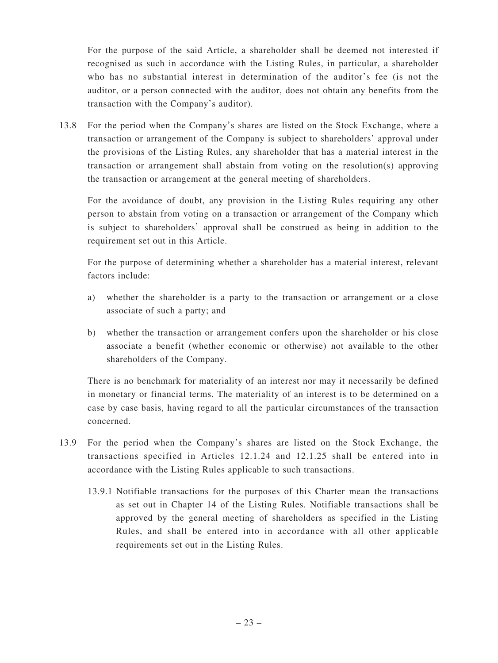For the purpose of the said Article, a shareholder shall be deemed not interested if recognised as such in accordance with the Listing Rules, in particular, a shareholder who has no substantial interest in determination of the auditor's fee (is not the auditor, or a person connected with the auditor, does not obtain any benefits from the transaction with the Company's auditor).

13.8 For the period when the Company's shares are listed on the Stock Exchange, where a transaction or arrangement of the Company is subject to shareholders' approval under the provisions of the Listing Rules, any shareholder that has a material interest in the transaction or arrangement shall abstain from voting on the resolution(s) approving the transaction or arrangement at the general meeting of shareholders.

 For the avoidance of doubt, any provision in the Listing Rules requiring any other person to abstain from voting on a transaction or arrangement of the Company which is subject to shareholders' approval shall be construed as being in addition to the requirement set out in this Article.

 For the purpose of determining whether a shareholder has a material interest, relevant factors include:

- a) whether the shareholder is a party to the transaction or arrangement or a close associate of such a party; and
- b) whether the transaction or arrangement confers upon the shareholder or his close associate a benefit (whether economic or otherwise) not available to the other shareholders of the Company.

 There is no benchmark for materiality of an interest nor may it necessarily be defined in monetary or financial terms. The materiality of an interest is to be determined on a case by case basis, having regard to all the particular circumstances of the transaction concerned.

- 13.9 For the period when the Company's shares are listed on the Stock Exchange, the transactions specified in Articles 12.1.24 and 12.1.25 shall be entered into in accordance with the Listing Rules applicable to such transactions.
	- 13.9.1 Notifiable transactions for the purposes of this Charter mean the transactions as set out in Chapter 14 of the Listing Rules. Notifiable transactions shall be approved by the general meeting of shareholders as specified in the Listing Rules, and shall be entered into in accordance with all other applicable requirements set out in the Listing Rules.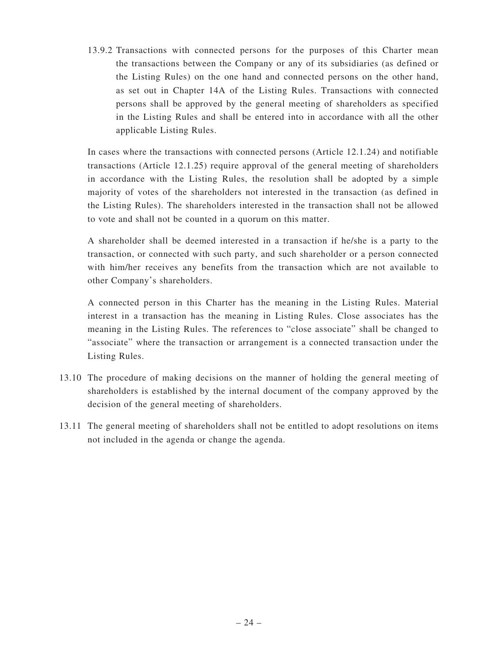13.9.2 Transactions with connected persons for the purposes of this Charter mean the transactions between the Company or any of its subsidiaries (as defined or the Listing Rules) on the one hand and connected persons on the other hand, as set out in Chapter 14A of the Listing Rules. Transactions with connected persons shall be approved by the general meeting of shareholders as specified in the Listing Rules and shall be entered into in accordance with all the other applicable Listing Rules.

 In cases where the transactions with connected persons (Article 12.1.24) and notifiable transactions (Article 12.1.25) require approval of the general meeting of shareholders in accordance with the Listing Rules, the resolution shall be adopted by a simple majority of votes of the shareholders not interested in the transaction (as defined in the Listing Rules). The shareholders interested in the transaction shall not be allowed to vote and shall not be counted in a quorum on this matter.

 A shareholder shall be deemed interested in a transaction if he/she is a party to the transaction, or connected with such party, and such shareholder or a person connected with him/her receives any benefits from the transaction which are not available to other Company's shareholders.

 A connected person in this Charter has the meaning in the Listing Rules. Material interest in a transaction has the meaning in Listing Rules. Close associates has the meaning in the Listing Rules. The references to "close associate" shall be changed to "associate" where the transaction or arrangement is a connected transaction under the Listing Rules.

- 13.10 The procedure of making decisions on the manner of holding the general meeting of shareholders is established by the internal document of the company approved by the decision of the general meeting of shareholders.
- 13.11 The general meeting of shareholders shall not be entitled to adopt resolutions on items not included in the agenda or change the agenda.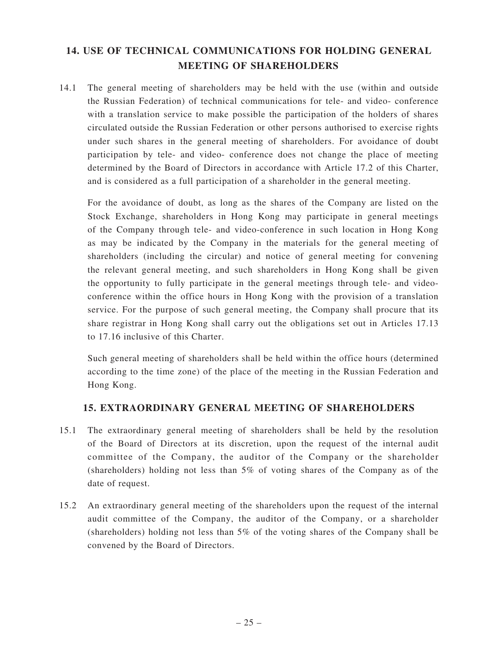# **14. USE OF TECHNICAL COMMUNICATIONS FOR HOLDING GENERAL MEETING OF SHAREHOLDERS**

14.1 The general meeting of shareholders may be held with the use (within and outside the Russian Federation) of technical communications for tele- and video- conference with a translation service to make possible the participation of the holders of shares circulated outside the Russian Federation or other persons authorised to exercise rights under such shares in the general meeting of shareholders. For avoidance of doubt participation by tele- and video- conference does not change the place of meeting determined by the Board of Directors in accordance with Article 17.2 of this Charter, and is considered as a full participation of a shareholder in the general meeting.

 For the avoidance of doubt, as long as the shares of the Company are listed on the Stock Exchange, shareholders in Hong Kong may participate in general meetings of the Company through tele- and video-conference in such location in Hong Kong as may be indicated by the Company in the materials for the general meeting of shareholders (including the circular) and notice of general meeting for convening the relevant general meeting, and such shareholders in Hong Kong shall be given the opportunity to fully participate in the general meetings through tele- and videoconference within the office hours in Hong Kong with the provision of a translation service. For the purpose of such general meeting, the Company shall procure that its share registrar in Hong Kong shall carry out the obligations set out in Articles 17.13 to 17.16 inclusive of this Charter.

 Such general meeting of shareholders shall be held within the office hours (determined according to the time zone) of the place of the meeting in the Russian Federation and Hong Kong.

# **15. EXTRAORDINARY GENERAL MEETING OF SHAREHOLDERS**

- 15.1 The extraordinary general meeting of shareholders shall be held by the resolution of the Board of Directors at its discretion, upon the request of the internal audit committee of the Company, the auditor of the Company or the shareholder (shareholders) holding not less than 5% of voting shares of the Company as of the date of request.
- 15.2 An extraordinary general meeting of the shareholders upon the request of the internal audit committee of the Company, the auditor of the Company, or a shareholder (shareholders) holding not less than 5% of the voting shares of the Company shall be convened by the Board of Directors.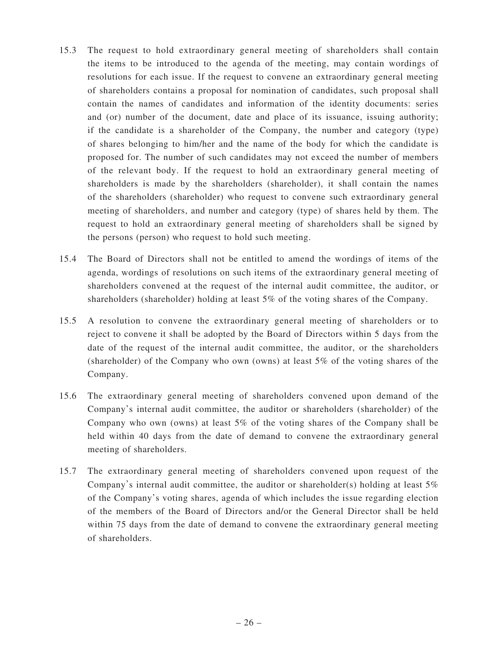- 15.3 The request to hold extraordinary general meeting of shareholders shall contain the items to be introduced to the agenda of the meeting, may contain wordings of resolutions for each issue. If the request to convene an extraordinary general meeting of shareholders contains a proposal for nomination of candidates, such proposal shall contain the names of candidates and information of the identity documents: series and (or) number of the document, date and place of its issuance, issuing authority; if the candidate is a shareholder of the Company, the number and category (type) of shares belonging to him/her and the name of the body for which the candidate is proposed for. The number of such candidates may not exceed the number of members of the relevant body. If the request to hold an extraordinary general meeting of shareholders is made by the shareholders (shareholder), it shall contain the names of the shareholders (shareholder) who request to convene such extraordinary general meeting of shareholders, and number and category (type) of shares held by them. The request to hold an extraordinary general meeting of shareholders shall be signed by the persons (person) who request to hold such meeting.
- 15.4 The Board of Directors shall not be entitled to amend the wordings of items of the agenda, wordings of resolutions on such items of the extraordinary general meeting of shareholders convened at the request of the internal audit committee, the auditor, or shareholders (shareholder) holding at least 5% of the voting shares of the Company.
- 15.5 A resolution to convene the extraordinary general meeting of shareholders or to reject to convene it shall be adopted by the Board of Directors within 5 days from the date of the request of the internal audit committee, the auditor, or the shareholders (shareholder) of the Company who own (owns) at least 5% of the voting shares of the Company.
- 15.6 The extraordinary general meeting of shareholders convened upon demand of the Company's internal audit committee, the auditor or shareholders (shareholder) of the Company who own (owns) at least 5% of the voting shares of the Company shall be held within 40 days from the date of demand to convene the extraordinary general meeting of shareholders.
- 15.7 The extraordinary general meeting of shareholders convened upon request of the Company's internal audit committee, the auditor or shareholder(s) holding at least  $5\%$ of the Company's voting shares, agenda of which includes the issue regarding election of the members of the Board of Directors and/or the General Director shall be held within 75 days from the date of demand to convene the extraordinary general meeting of shareholders.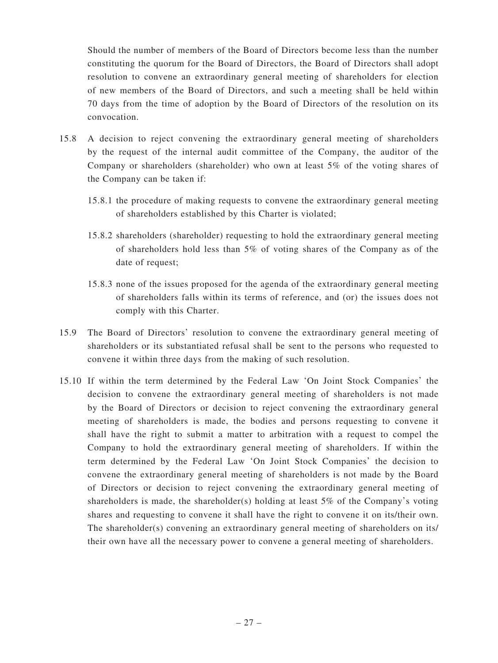Should the number of members of the Board of Directors become less than the number constituting the quorum for the Board of Directors, the Board of Directors shall adopt resolution to convene an extraordinary general meeting of shareholders for election of new members of the Board of Directors, and such a meeting shall be held within 70 days from the time of adoption by the Board of Directors of the resolution on its convocation.

- 15.8 A decision to reject convening the extraordinary general meeting of shareholders by the request of the internal audit committee of the Company, the auditor of the Company or shareholders (shareholder) who own at least 5% of the voting shares of the Company can be taken if:
	- 15.8.1 the procedure of making requests to convene the extraordinary general meeting of shareholders established by this Charter is violated;
	- 15.8.2 shareholders (shareholder) requesting to hold the extraordinary general meeting of shareholders hold less than 5% of voting shares of the Company as of the date of request;
	- 15.8.3 none of the issues proposed for the agenda of the extraordinary general meeting of shareholders falls within its terms of reference, and (or) the issues does not comply with this Charter.
- 15.9 The Board of Directors' resolution to convene the extraordinary general meeting of shareholders or its substantiated refusal shall be sent to the persons who requested to convene it within three days from the making of such resolution.
- 15.10 If within the term determined by the Federal Law 'On Joint Stock Companies' the decision to convene the extraordinary general meeting of shareholders is not made by the Board of Directors or decision to reject convening the extraordinary general meeting of shareholders is made, the bodies and persons requesting to convene it shall have the right to submit a matter to arbitration with a request to compel the Company to hold the extraordinary general meeting of shareholders. If within the term determined by the Federal Law 'On Joint Stock Companies' the decision to convene the extraordinary general meeting of shareholders is not made by the Board of Directors or decision to reject convening the extraordinary general meeting of shareholders is made, the shareholder(s) holding at least  $5\%$  of the Company's voting shares and requesting to convene it shall have the right to convene it on its/their own. The shareholder(s) convening an extraordinary general meeting of shareholders on its/ their own have all the necessary power to convene a general meeting of shareholders.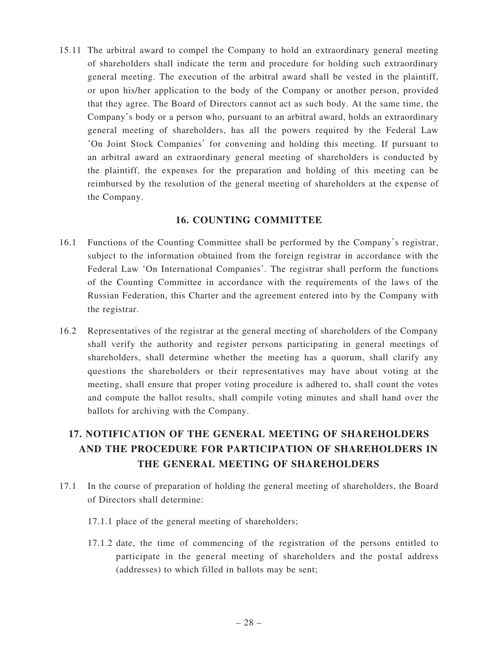15.11 The arbitral award to compel the Company to hold an extraordinary general meeting of shareholders shall indicate the term and procedure for holding such extraordinary general meeting. The execution of the arbitral award shall be vested in the plaintiff, or upon his/her application to the body of the Company or another person, provided that they agree. The Board of Directors cannot act as such body. At the same time, the Company's body or a person who, pursuant to an arbitral award, holds an extraordinary general meeting of shareholders, has all the powers required by the Federal Law 'On Joint Stock Companies' for convening and holding this meeting. If pursuant to an arbitral award an extraordinary general meeting of shareholders is conducted by the plaintiff, the expenses for the preparation and holding of this meeting can be reimbursed by the resolution of the general meeting of shareholders at the expense of the Company.

## **16. COUNTING COMMITTEE**

- 16.1 Functions of the Counting Committee shall be performed by the Company's registrar, subject to the information obtained from the foreign registrar in accordance with the Federal Law 'On International Companies'. The registrar shall perform the functions of the Counting Committee in accordance with the requirements of the laws of the Russian Federation, this Charter and the agreement entered into by the Company with the registrar.
- 16.2 Representatives of the registrar at the general meeting of shareholders of the Company shall verify the authority and register persons participating in general meetings of shareholders, shall determine whether the meeting has a quorum, shall clarify any questions the shareholders or their representatives may have about voting at the meeting, shall ensure that proper voting procedure is adhered to, shall count the votes and compute the ballot results, shall compile voting minutes and shall hand over the ballots for archiving with the Company.

# **17. NOTIFICATION OF THE GENERAL MEETING OF SHAREHOLDERS AND THE PROCEDURE FOR PARTICIPATION OF SHAREHOLDERS IN THE GENERAL MEETING OF SHAREHOLDERS**

- 17.1 In the course of preparation of holding the general meeting of shareholders, the Board of Directors shall determine:
	- 17.1.1 place of the general meeting of shareholders;
	- 17.1.2 date, the time of commencing of the registration of the persons entitled to participate in the general meeting of shareholders and the postal address (addresses) to which filled in ballots may be sent;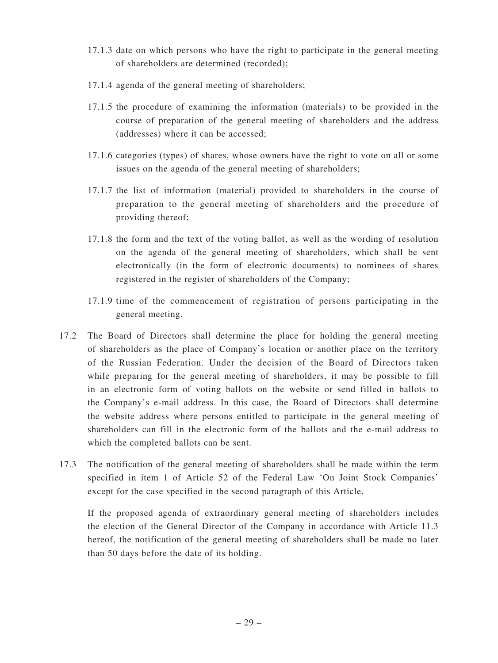- 17.1.3 date on which persons who have the right to participate in the general meeting of shareholders are determined (recorded);
- 17.1.4 agenda of the general meeting of shareholders;
- 17.1.5 the procedure of examining the information (materials) to be provided in the course of preparation of the general meeting of shareholders and the address (addresses) where it can be accessed;
- 17.1.6 categories (types) of shares, whose owners have the right to vote on all or some issues on the agenda of the general meeting of shareholders;
- 17.1.7 the list of information (material) provided to shareholders in the course of preparation to the general meeting of shareholders and the procedure of providing thereof;
- 17.1.8 the form and the text of the voting ballot, as well as the wording of resolution on the agenda of the general meeting of shareholders, which shall be sent electronically (in the form of electronic documents) to nominees of shares registered in the register of shareholders of the Company;
- 17.1.9 time of the commencement of registration of persons participating in the general meeting.
- 17.2 The Board of Directors shall determine the place for holding the general meeting of shareholders as the place of Company's location or another place on the territory of the Russian Federation. Under the decision of the Board of Directors taken while preparing for the general meeting of shareholders, it may be possible to fill in an electronic form of voting ballots on the website or send filled in ballots to the Company's e-mail address. In this case, the Board of Directors shall determine the website address where persons entitled to participate in the general meeting of shareholders can fill in the electronic form of the ballots and the e-mail address to which the completed ballots can be sent.
- 17.3 The notification of the general meeting of shareholders shall be made within the term specified in item 1 of Article 52 of the Federal Law 'On Joint Stock Companies' except for the case specified in the second paragraph of this Article.

 If the proposed agenda of extraordinary general meeting of shareholders includes the election of the General Director of the Company in accordance with Article 11.3 hereof, the notification of the general meeting of shareholders shall be made no later than 50 days before the date of its holding.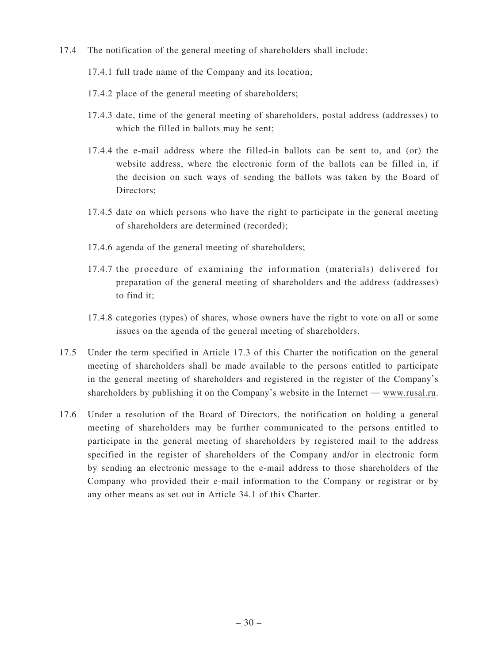17.4 The notification of the general meeting of shareholders shall include:

#### 17.4.1 full trade name of the Company and its location;

- 17.4.2 place of the general meeting of shareholders;
- 17.4.3 date, time of the general meeting of shareholders, postal address (addresses) to which the filled in ballots may be sent:
- 17.4.4 the e-mail address where the filled-in ballots can be sent to, and (or) the website address, where the electronic form of the ballots can be filled in, if the decision on such ways of sending the ballots was taken by the Board of Directors;
- 17.4.5 date on which persons who have the right to participate in the general meeting of shareholders are determined (recorded);
- 17.4.6 agenda of the general meeting of shareholders;
- 17.4.7 the procedure of examining the information (materials) delivered for preparation of the general meeting of shareholders and the address (addresses) to find it;
- 17.4.8 categories (types) of shares, whose owners have the right to vote on all or some issues on the agenda of the general meeting of shareholders.
- 17.5 Under the term specified in Article 17.3 of this Charter the notification on the general meeting of shareholders shall be made available to the persons entitled to participate in the general meeting of shareholders and registered in the register of the Company's shareholders by publishing it on the Company's website in the Internet — www.rusal.ru.
- 17.6 Under a resolution of the Board of Directors, the notification on holding a general meeting of shareholders may be further communicated to the persons entitled to participate in the general meeting of shareholders by registered mail to the address specified in the register of shareholders of the Company and/or in electronic form by sending an electronic message to the e-mail address to those shareholders of the Company who provided their e-mail information to the Company or registrar or by any other means as set out in Article 34.1 of this Charter.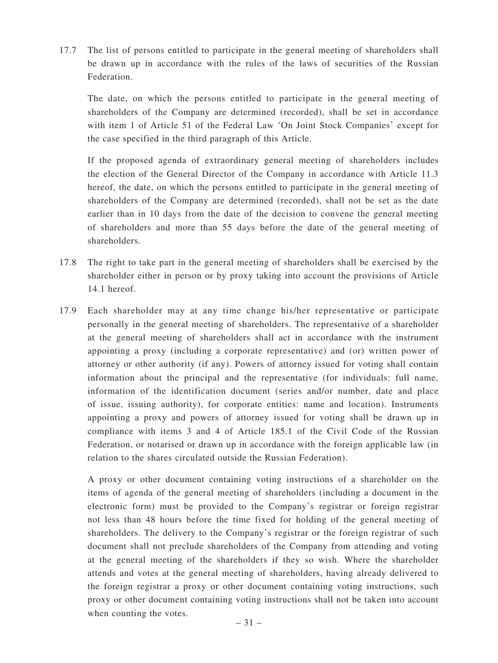17.7 The list of persons entitled to participate in the general meeting of shareholders shall be drawn up in accordance with the rules of the laws of securities of the Russian Federation.

 The date, on which the persons entitled to participate in the general meeting of shareholders of the Company are determined (recorded), shall be set in accordance with item 1 of Article 51 of the Federal Law 'On Joint Stock Companies' except for the case specified in the third paragraph of this Article.

 If the proposed agenda of extraordinary general meeting of shareholders includes the election of the General Director of the Company in accordance with Article 11.3 hereof, the date, on which the persons entitled to participate in the general meeting of shareholders of the Company are determined (recorded), shall not be set as the date earlier than in 10 days from the date of the decision to convene the general meeting of shareholders and more than 55 days before the date of the general meeting of shareholders.

- 17.8 The right to take part in the general meeting of shareholders shall be exercised by the shareholder either in person or by proxy taking into account the provisions of Article 14.1 hereof.
- 17.9 Each shareholder may at any time change his/her representative or participate personally in the general meeting of shareholders. The representative of a shareholder at the general meeting of shareholders shall act in accordance with the instrument appointing a proxy (including a corporate representative) and (or) written power of attorney or other authority (if any). Powers of attorney issued for voting shall contain information about the principal and the representative (for individuals: full name, information of the identification document (series and/or number, date and place of issue, issuing authority), for corporate entities: name and location). Instruments appointing a proxy and powers of attorney issued for voting shall be drawn up in compliance with items 3 and 4 of Article 185.1 of the Civil Code of the Russian Federation, or notarised or drawn up in accordance with the foreign applicable law (in relation to the shares circulated outside the Russian Federation).

 A proxy or other document containing voting instructions of a shareholder on the items of agenda of the general meeting of shareholders (including a document in the electronic form) must be provided to the Company's registrar or foreign registrar not less than 48 hours before the time fixed for holding of the general meeting of shareholders. The delivery to the Company's registrar or the foreign registrar of such document shall not preclude shareholders of the Company from attending and voting at the general meeting of the shareholders if they so wish. Where the shareholder attends and votes at the general meeting of shareholders, having already delivered to the foreign registrar a proxy or other document containing voting instructions, such proxy or other document containing voting instructions shall not be taken into account when counting the votes.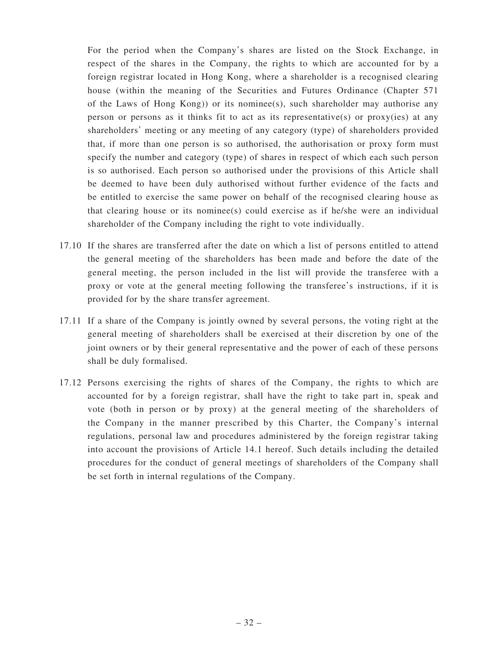For the period when the Company's shares are listed on the Stock Exchange, in respect of the shares in the Company, the rights to which are accounted for by a foreign registrar located in Hong Kong, where a shareholder is a recognised clearing house (within the meaning of the Securities and Futures Ordinance (Chapter 571 of the Laws of Hong Kong)) or its nominee(s), such shareholder may authorise any person or persons as it thinks fit to act as its representative(s) or proxy(ies) at any shareholders' meeting or any meeting of any category (type) of shareholders provided that, if more than one person is so authorised, the authorisation or proxy form must specify the number and category (type) of shares in respect of which each such person is so authorised. Each person so authorised under the provisions of this Article shall be deemed to have been duly authorised without further evidence of the facts and be entitled to exercise the same power on behalf of the recognised clearing house as that clearing house or its nominee(s) could exercise as if he/she were an individual shareholder of the Company including the right to vote individually.

- 17.10 If the shares are transferred after the date on which a list of persons entitled to attend the general meeting of the shareholders has been made and before the date of the general meeting, the person included in the list will provide the transferee with a proxy or vote at the general meeting following the transferee's instructions, if it is provided for by the share transfer agreement.
- 17.11 If a share of the Company is jointly owned by several persons, the voting right at the general meeting of shareholders shall be exercised at their discretion by one of the joint owners or by their general representative and the power of each of these persons shall be duly formalised.
- 17.12 Persons exercising the rights of shares of the Company, the rights to which are accounted for by a foreign registrar, shall have the right to take part in, speak and vote (both in person or by proxy) at the general meeting of the shareholders of the Company in the manner prescribed by this Charter, the Company's internal regulations, personal law and procedures administered by the foreign registrar taking into account the provisions of Article 14.1 hereof. Such details including the detailed procedures for the conduct of general meetings of shareholders of the Company shall be set forth in internal regulations of the Company.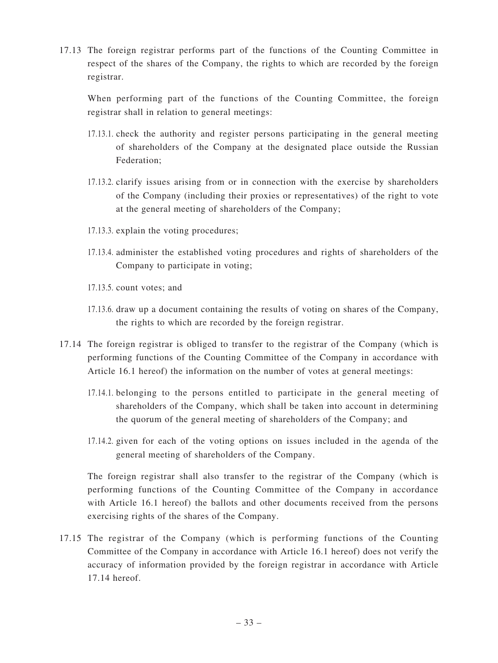17.13 The foreign registrar performs part of the functions of the Counting Committee in respect of the shares of the Company, the rights to which are recorded by the foreign registrar.

 When performing part of the functions of the Counting Committee, the foreign registrar shall in relation to general meetings:

- 17.13.1. check the authority and register persons participating in the general meeting of shareholders of the Company at the designated place outside the Russian Federation;
- 17.13.2. clarify issues arising from or in connection with the exercise by shareholders of the Company (including their proxies or representatives) of the right to vote at the general meeting of shareholders of the Company;
- 17.13.3. explain the voting procedures;
- 17.13.4. administer the established voting procedures and rights of shareholders of the Company to participate in voting;
- 17.13.5. count votes; and
- 17.13.6. draw up a document containing the results of voting on shares of the Company, the rights to which are recorded by the foreign registrar.
- 17.14 The foreign registrar is obliged to transfer to the registrar of the Company (which is performing functions of the Counting Committee of the Company in accordance with Article 16.1 hereof) the information on the number of votes at general meetings:
	- 17.14.1. belonging to the persons entitled to participate in the general meeting of shareholders of the Company, which shall be taken into account in determining the quorum of the general meeting of shareholders of the Company; and
	- 17.14.2. given for each of the voting options on issues included in the agenda of the general meeting of shareholders of the Company.

 The foreign registrar shall also transfer to the registrar of the Company (which is performing functions of the Counting Committee of the Company in accordance with Article 16.1 hereof) the ballots and other documents received from the persons exercising rights of the shares of the Company.

17.15 The registrar of the Company (which is performing functions of the Counting Committee of the Company in accordance with Article 16.1 hereof) does not verify the accuracy of information provided by the foreign registrar in accordance with Article 17.14 hereof.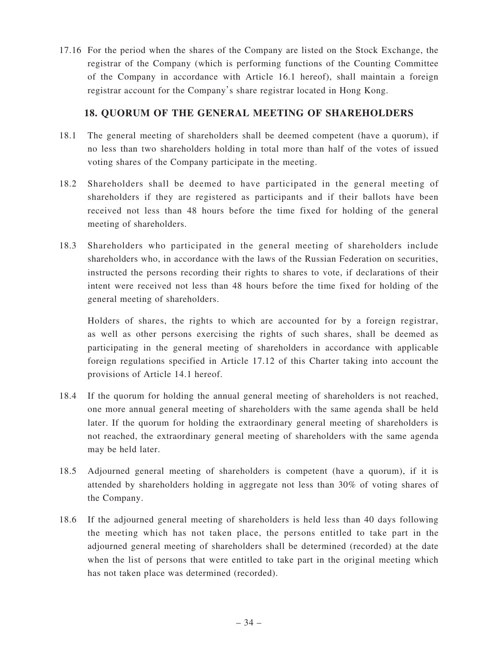17.16 For the period when the shares of the Company are listed on the Stock Exchange, the registrar of the Company (which is performing functions of the Counting Committee of the Company in accordance with Article 16.1 hereof), shall maintain a foreign registrar account for the Company's share registrar located in Hong Kong.

# **18. QUORUM OF THE GENERAL MEETING OF SHAREHOLDERS**

- 18.1 The general meeting of shareholders shall be deemed competent (have a quorum), if no less than two shareholders holding in total more than half of the votes of issued voting shares of the Company participate in the meeting.
- 18.2 Shareholders shall be deemed to have participated in the general meeting of shareholders if they are registered as participants and if their ballots have been received not less than 48 hours before the time fixed for holding of the general meeting of shareholders.
- 18.3 Shareholders who participated in the general meeting of shareholders include shareholders who, in accordance with the laws of the Russian Federation on securities, instructed the persons recording their rights to shares to vote, if declarations of their intent were received not less than 48 hours before the time fixed for holding of the general meeting of shareholders.

 Holders of shares, the rights to which are accounted for by a foreign registrar, as well as other persons exercising the rights of such shares, shall be deemed as participating in the general meeting of shareholders in accordance with applicable foreign regulations specified in Article 17.12 of this Charter taking into account the provisions of Article 14.1 hereof.

- 18.4 If the quorum for holding the annual general meeting of shareholders is not reached, one more annual general meeting of shareholders with the same agenda shall be held later. If the quorum for holding the extraordinary general meeting of shareholders is not reached, the extraordinary general meeting of shareholders with the same agenda may be held later.
- 18.5 Adjourned general meeting of shareholders is competent (have a quorum), if it is attended by shareholders holding in aggregate not less than 30% of voting shares of the Company.
- 18.6 If the adjourned general meeting of shareholders is held less than 40 days following the meeting which has not taken place, the persons entitled to take part in the adjourned general meeting of shareholders shall be determined (recorded) at the date when the list of persons that were entitled to take part in the original meeting which has not taken place was determined (recorded).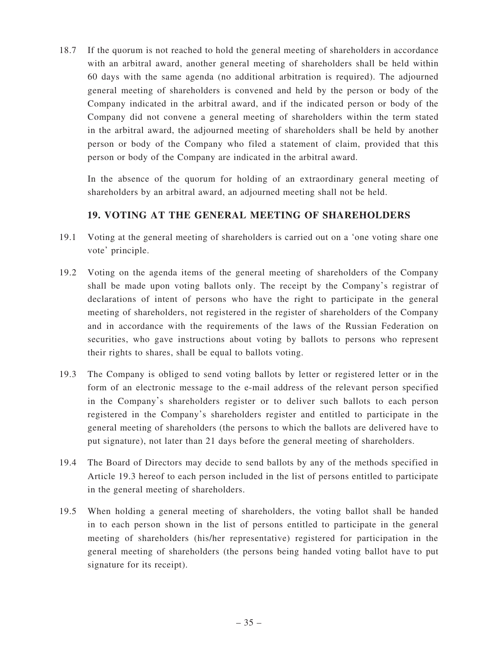18.7 If the quorum is not reached to hold the general meeting of shareholders in accordance with an arbitral award, another general meeting of shareholders shall be held within 60 days with the same agenda (no additional arbitration is required). The adjourned general meeting of shareholders is convened and held by the person or body of the Company indicated in the arbitral award, and if the indicated person or body of the Company did not convene a general meeting of shareholders within the term stated in the arbitral award, the adjourned meeting of shareholders shall be held by another person or body of the Company who filed a statement of claim, provided that this person or body of the Company are indicated in the arbitral award.

 In the absence of the quorum for holding of an extraordinary general meeting of shareholders by an arbitral award, an adjourned meeting shall not be held.

# **19. VOTING AT THE GENERAL MEETING OF SHAREHOLDERS**

- 19.1 Voting at the general meeting of shareholders is carried out on a 'one voting share one vote' principle.
- 19.2 Voting on the agenda items of the general meeting of shareholders of the Company shall be made upon voting ballots only. The receipt by the Company's registrar of declarations of intent of persons who have the right to participate in the general meeting of shareholders, not registered in the register of shareholders of the Company and in accordance with the requirements of the laws of the Russian Federation on securities, who gave instructions about voting by ballots to persons who represent their rights to shares, shall be equal to ballots voting.
- 19.3 The Company is obliged to send voting ballots by letter or registered letter or in the form of an electronic message to the e-mail address of the relevant person specified in the Company's shareholders register or to deliver such ballots to each person registered in the Company's shareholders register and entitled to participate in the general meeting of shareholders (the persons to which the ballots are delivered have to put signature), not later than 21 days before the general meeting of shareholders.
- 19.4 The Board of Directors may decide to send ballots by any of the methods specified in Article 19.3 hereof to each person included in the list of persons entitled to participate in the general meeting of shareholders.
- 19.5 When holding a general meeting of shareholders, the voting ballot shall be handed in to each person shown in the list of persons entitled to participate in the general meeting of shareholders (his/her representative) registered for participation in the general meeting of shareholders (the persons being handed voting ballot have to put signature for its receipt).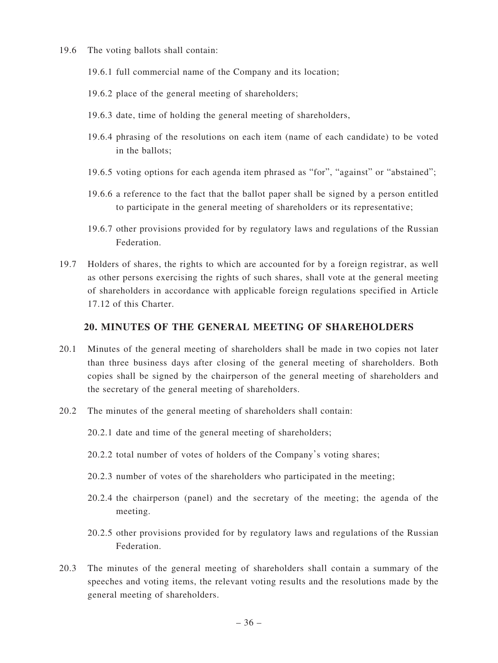- 19.6 The voting ballots shall contain:
	- 19.6.1 full commercial name of the Company and its location;
	- 19.6.2 place of the general meeting of shareholders;
	- 19.6.3 date, time of holding the general meeting of shareholders,
	- 19.6.4 phrasing of the resolutions on each item (name of each candidate) to be voted in the ballots;
	- 19.6.5 voting options for each agenda item phrased as "for", "against" or "abstained";
	- 19.6.6 a reference to the fact that the ballot paper shall be signed by a person entitled to participate in the general meeting of shareholders or its representative;
	- 19.6.7 other provisions provided for by regulatory laws and regulations of the Russian Federation.
- 19.7 Holders of shares, the rights to which are accounted for by a foreign registrar, as well as other persons exercising the rights of such shares, shall vote at the general meeting of shareholders in accordance with applicable foreign regulations specified in Article 17.12 of this Charter.

#### **20. MINUTES OF THE GENERAL MEETING OF SHAREHOLDERS**

- 20.1 Minutes of the general meeting of shareholders shall be made in two copies not later than three business days after closing of the general meeting of shareholders. Both copies shall be signed by the chairperson of the general meeting of shareholders and the secretary of the general meeting of shareholders.
- 20.2 The minutes of the general meeting of shareholders shall contain:

20.2.1 date and time of the general meeting of shareholders;

- 20.2.2 total number of votes of holders of the Company's voting shares;
- 20.2.3 number of votes of the shareholders who participated in the meeting;
- 20.2.4 the chairperson (panel) and the secretary of the meeting; the agenda of the meeting.
- 20.2.5 other provisions provided for by regulatory laws and regulations of the Russian Federation.
- 20.3 The minutes of the general meeting of shareholders shall contain a summary of the speeches and voting items, the relevant voting results and the resolutions made by the general meeting of shareholders.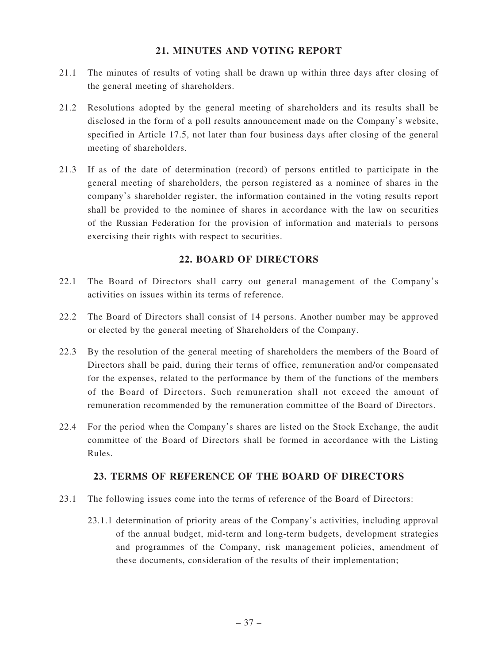# **21. MINUTES AND VOTING REPORT**

- 21.1 The minutes of results of voting shall be drawn up within three days after closing of the general meeting of shareholders.
- 21.2 Resolutions adopted by the general meeting of shareholders and its results shall be disclosed in the form of a poll results announcement made on the Company's website, specified in Article 17.5, not later than four business days after closing of the general meeting of shareholders.
- 21.3 If as of the date of determination (record) of persons entitled to participate in the general meeting of shareholders, the person registered as a nominee of shares in the company's shareholder register, the information contained in the voting results report shall be provided to the nominee of shares in accordance with the law on securities of the Russian Federation for the provision of information and materials to persons exercising their rights with respect to securities.

# **22. BOARD OF DIRECTORS**

- 22.1 The Board of Directors shall carry out general management of the Company's activities on issues within its terms of reference.
- 22.2 The Board of Directors shall consist of 14 persons. Another number may be approved or elected by the general meeting of Shareholders of the Company.
- 22.3 By the resolution of the general meeting of shareholders the members of the Board of Directors shall be paid, during their terms of office, remuneration and/or compensated for the expenses, related to the performance by them of the functions of the members of the Board of Directors. Such remuneration shall not exceed the amount of remuneration recommended by the remuneration committee of the Board of Directors.
- 22.4 For the period when the Company's shares are listed on the Stock Exchange, the audit committee of the Board of Directors shall be formed in accordance with the Listing Rules.

# **23. TERMS OF REFERENCE OF THE BOARD OF DIRECTORS**

- 23.1 The following issues come into the terms of reference of the Board of Directors:
	- 23.1.1 determination of priority areas of the Company's activities, including approval of the annual budget, mid-term and long-term budgets, development strategies and programmes of the Company, risk management policies, amendment of these documents, consideration of the results of their implementation;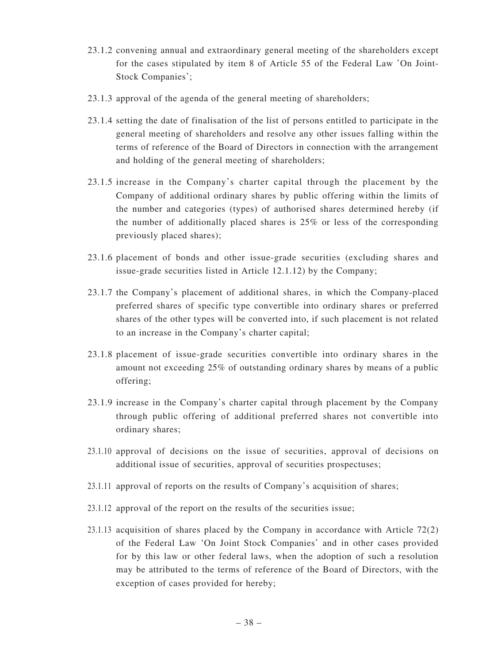- 23.1.2 convening annual and extraordinary general meeting of the shareholders except for the cases stipulated by item 8 of Article 55 of the Federal Law 'On Joint-Stock Companies';
- 23.1.3 approval of the agenda of the general meeting of shareholders;
- 23.1.4 setting the date of finalisation of the list of persons entitled to participate in the general meeting of shareholders and resolve any other issues falling within the terms of reference of the Board of Directors in connection with the arrangement and holding of the general meeting of shareholders;
- 23.1.5 increase in the Company's charter capital through the placement by the Company of additional ordinary shares by public offering within the limits of the number and categories (types) of authorised shares determined hereby (if the number of additionally placed shares is 25% or less of the corresponding previously placed shares);
- 23.1.6 placement of bonds and other issue-grade securities (excluding shares and issue-grade securities listed in Article 12.1.12) by the Company;
- 23.1.7 the Company's placement of additional shares, in which the Company-placed preferred shares of specific type convertible into ordinary shares or preferred shares of the other types will be converted into, if such placement is not related to an increase in the Company's charter capital;
- 23.1.8 placement of issue-grade securities convertible into ordinary shares in the amount not exceeding 25% of outstanding ordinary shares by means of a public offering;
- 23.1.9 increase in the Company's charter capital through placement by the Company through public offering of additional preferred shares not convertible into ordinary shares;
- 23.1.10 approval of decisions on the issue of securities, approval of decisions on additional issue of securities, approval of securities prospectuses;
- 23.1.11 approval of reports on the results of Company's acquisition of shares;
- 23.1.12 approval of the report on the results of the securities issue;
- 23.1.13 acquisition of shares placed by the Company in accordance with Article 72(2) of the Federal Law 'On Joint Stock Companies' and in other cases provided for by this law or other federal laws, when the adoption of such a resolution may be attributed to the terms of reference of the Board of Directors, with the exception of cases provided for hereby;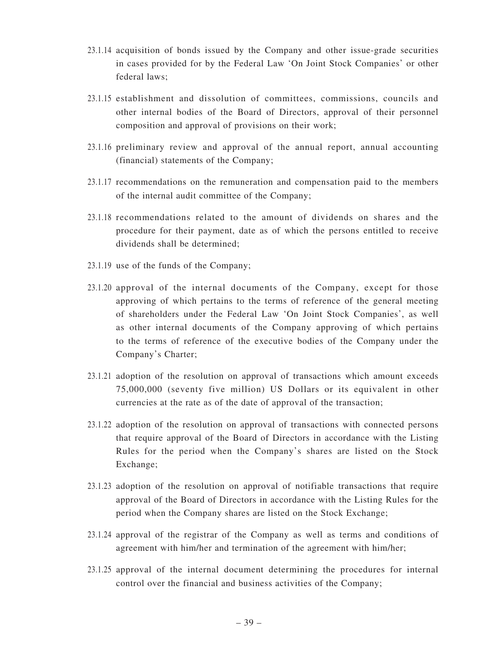- 23.1.14 acquisition of bonds issued by the Company and other issue-grade securities in cases provided for by the Federal Law 'On Joint Stock Companies' or other federal laws;
- 23.1.15 establishment and dissolution of committees, commissions, councils and other internal bodies of the Board of Directors, approval of their personnel composition and approval of provisions on their work;
- 23.1.16 preliminary review and approval of the annual report, annual accounting (financial) statements of the Company;
- 23.1.17 recommendations on the remuneration and compensation paid to the members of the internal audit committee of the Company;
- 23.1.18 recommendations related to the amount of dividends on shares and the procedure for their payment, date as of which the persons entitled to receive dividends shall be determined;
- 23.1.19 use of the funds of the Company;
- 23.1.20 approval of the internal documents of the Company, except for those approving of which pertains to the terms of reference of the general meeting of shareholders under the Federal Law 'On Joint Stock Companies', as well as other internal documents of the Company approving of which pertains to the terms of reference of the executive bodies of the Company under the Company's Charter;
- 23.1.21 adoption of the resolution on approval of transactions which amount exceeds 75,000,000 (seventy five million) US Dollars or its equivalent in other currencies at the rate as of the date of approval of the transaction;
- 23.1.22 adoption of the resolution on approval of transactions with connected persons that require approval of the Board of Directors in accordance with the Listing Rules for the period when the Company's shares are listed on the Stock Exchange;
- 23.1.23 adoption of the resolution on approval of notifiable transactions that require approval of the Board of Directors in accordance with the Listing Rules for the period when the Company shares are listed on the Stock Exchange;
- 23.1.24 approval of the registrar of the Company as well as terms and conditions of agreement with him/her and termination of the agreement with him/her;
- 23.1.25 approval of the internal document determining the procedures for internal control over the financial and business activities of the Company;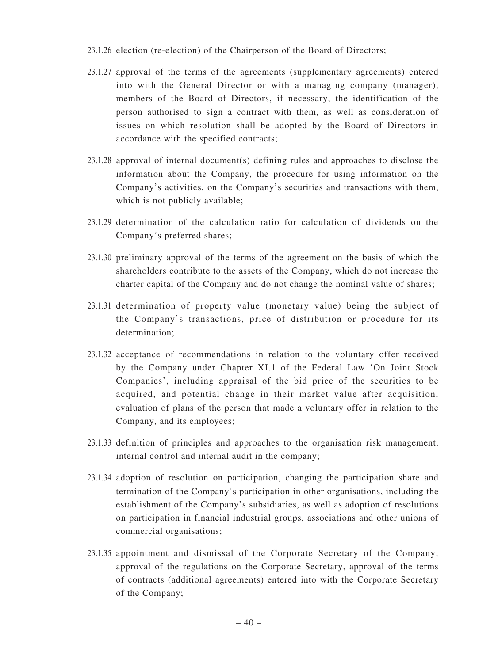- 23.1.26 election (re-election) of the Chairperson of the Board of Directors;
- 23.1.27 approval of the terms of the agreements (supplementary agreements) entered into with the General Director or with a managing company (manager), members of the Board of Directors, if necessary, the identification of the person authorised to sign a contract with them, as well as consideration of issues on which resolution shall be adopted by the Board of Directors in accordance with the specified contracts;
- 23.1.28 approval of internal document(s) defining rules and approaches to disclose the information about the Company, the procedure for using information on the Company's activities, on the Company's securities and transactions with them, which is not publicly available;
- 23.1.29 determination of the calculation ratio for calculation of dividends on the Company's preferred shares;
- 23.1.30 preliminary approval of the terms of the agreement on the basis of which the shareholders contribute to the assets of the Company, which do not increase the charter capital of the Company and do not change the nominal value of shares;
- 23.1.31 determination of property value (monetary value) being the subject of the Company's transactions, price of distribution or procedure for its determination;
- 23.1.32 acceptance of recommendations in relation to the voluntary offer received by the Company under Chapter XI.1 of the Federal Law 'On Joint Stock Companies', including appraisal of the bid price of the securities to be acquired, and potential change in their market value after acquisition, evaluation of plans of the person that made a voluntary offer in relation to the Company, and its employees;
- 23.1.33 definition of principles and approaches to the organisation risk management, internal control and internal audit in the company;
- 23.1.34 adoption of resolution on participation, changing the participation share and termination of the Company's participation in other organisations, including the establishment of the Company's subsidiaries, as well as adoption of resolutions on participation in financial industrial groups, associations and other unions of commercial organisations;
- 23.1.35 appointment and dismissal of the Corporate Secretary of the Company, approval of the regulations on the Corporate Secretary, approval of the terms of contracts (additional agreements) entered into with the Corporate Secretary of the Company;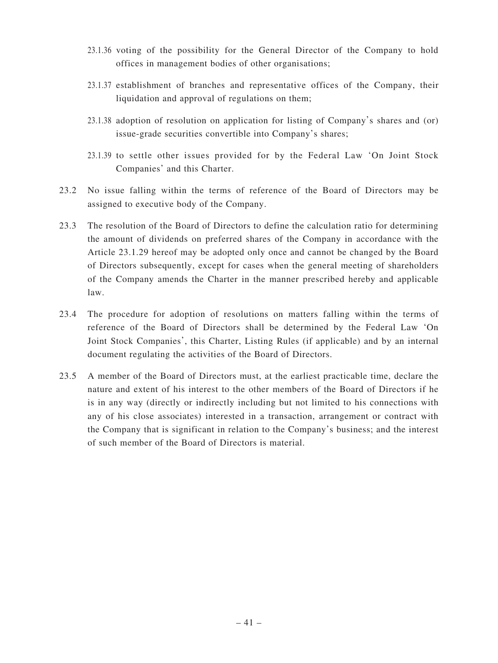- 23.1.36 voting of the possibility for the General Director of the Company to hold offices in management bodies of other organisations;
- 23.1.37 establishment of branches and representative offices of the Company, their liquidation and approval of regulations on them;
- 23.1.38 adoption of resolution on application for listing of Company's shares and (or) issue-grade securities convertible into Company's shares;
- 23.1.39 to settle other issues provided for by the Federal Law 'On Joint Stock Companies' and this Charter.
- 23.2 No issue falling within the terms of reference of the Board of Directors may be assigned to executive body of the Company.
- 23.3 The resolution of the Board of Directors to define the calculation ratio for determining the amount of dividends on preferred shares of the Company in accordance with the Article 23.1.29 hereof may be adopted only once and cannot be changed by the Board of Directors subsequently, except for cases when the general meeting of shareholders of the Company amends the Charter in the manner prescribed hereby and applicable law.
- 23.4 The procedure for adoption of resolutions on matters falling within the terms of reference of the Board of Directors shall be determined by the Federal Law 'On Joint Stock Companies', this Charter, Listing Rules (if applicable) and by an internal document regulating the activities of the Board of Directors.
- 23.5 A member of the Board of Directors must, at the earliest practicable time, declare the nature and extent of his interest to the other members of the Board of Directors if he is in any way (directly or indirectly including but not limited to his connections with any of his close associates) interested in a transaction, arrangement or contract with the Company that is significant in relation to the Company's business; and the interest of such member of the Board of Directors is material.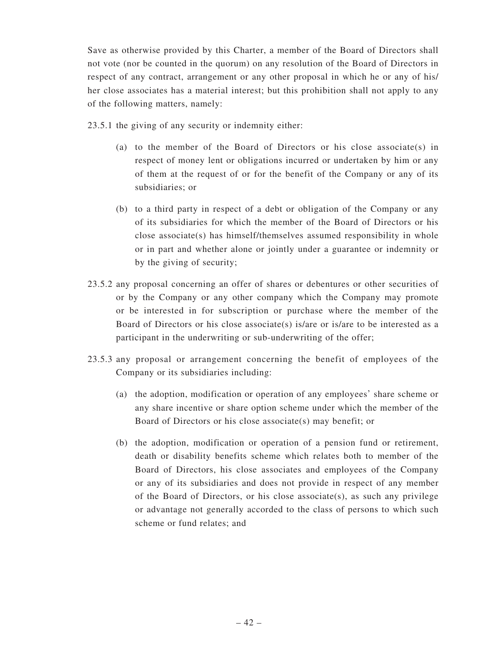Save as otherwise provided by this Charter, a member of the Board of Directors shall not vote (nor be counted in the quorum) on any resolution of the Board of Directors in respect of any contract, arrangement or any other proposal in which he or any of his/ her close associates has a material interest; but this prohibition shall not apply to any of the following matters, namely:

23.5.1 the giving of any security or indemnity either:

- (a) to the member of the Board of Directors or his close associate(s) in respect of money lent or obligations incurred or undertaken by him or any of them at the request of or for the benefit of the Company or any of its subsidiaries; or
- (b) to a third party in respect of a debt or obligation of the Company or any of its subsidiaries for which the member of the Board of Directors or his close associate(s) has himself/themselves assumed responsibility in whole or in part and whether alone or jointly under a guarantee or indemnity or by the giving of security;
- 23.5.2 any proposal concerning an offer of shares or debentures or other securities of or by the Company or any other company which the Company may promote or be interested in for subscription or purchase where the member of the Board of Directors or his close associate(s) is/are or is/are to be interested as a participant in the underwriting or sub-underwriting of the offer;
- 23.5.3 any proposal or arrangement concerning the benefit of employees of the Company or its subsidiaries including:
	- (a) the adoption, modification or operation of any employees' share scheme or any share incentive or share option scheme under which the member of the Board of Directors or his close associate(s) may benefit; or
	- (b) the adoption, modification or operation of a pension fund or retirement, death or disability benefits scheme which relates both to member of the Board of Directors, his close associates and employees of the Company or any of its subsidiaries and does not provide in respect of any member of the Board of Directors, or his close associate(s), as such any privilege or advantage not generally accorded to the class of persons to which such scheme or fund relates; and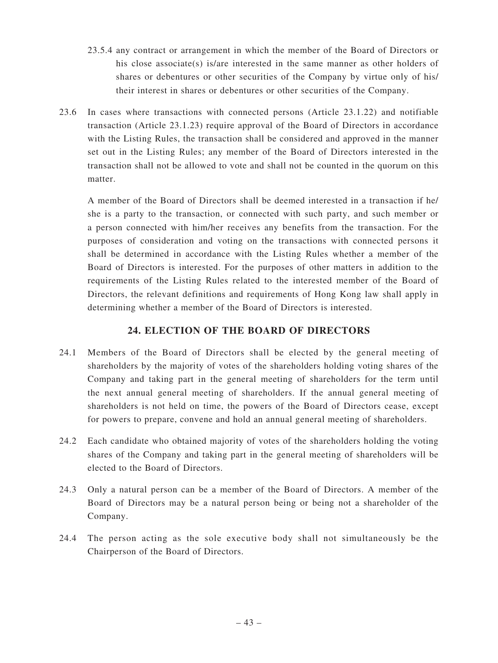- 23.5.4 any contract or arrangement in which the member of the Board of Directors or his close associate(s) is/are interested in the same manner as other holders of shares or debentures or other securities of the Company by virtue only of his/ their interest in shares or debentures or other securities of the Company.
- 23.6 In cases where transactions with connected persons (Article 23.1.22) and notifiable transaction (Article 23.1.23) require approval of the Board of Directors in accordance with the Listing Rules, the transaction shall be considered and approved in the manner set out in the Listing Rules; any member of the Board of Directors interested in the transaction shall not be allowed to vote and shall not be counted in the quorum on this matter.

 A member of the Board of Directors shall be deemed interested in a transaction if he/ she is a party to the transaction, or connected with such party, and such member or a person connected with him/her receives any benefits from the transaction. For the purposes of consideration and voting on the transactions with connected persons it shall be determined in accordance with the Listing Rules whether a member of the Board of Directors is interested. For the purposes of other matters in addition to the requirements of the Listing Rules related to the interested member of the Board of Directors, the relevant definitions and requirements of Hong Kong law shall apply in determining whether a member of the Board of Directors is interested.

# **24. ELECTION OF THE BOARD OF DIRECTORS**

- 24.1 Members of the Board of Directors shall be elected by the general meeting of shareholders by the majority of votes of the shareholders holding voting shares of the Company and taking part in the general meeting of shareholders for the term until the next annual general meeting of shareholders. If the annual general meeting of shareholders is not held on time, the powers of the Board of Directors cease, except for powers to prepare, convene and hold an annual general meeting of shareholders.
- 24.2 Each candidate who obtained majority of votes of the shareholders holding the voting shares of the Company and taking part in the general meeting of shareholders will be elected to the Board of Directors.
- 24.3 Only a natural person can be a member of the Board of Directors. A member of the Board of Directors may be a natural person being or being not a shareholder of the Company.
- 24.4 The person acting as the sole executive body shall not simultaneously be the Chairperson of the Board of Directors.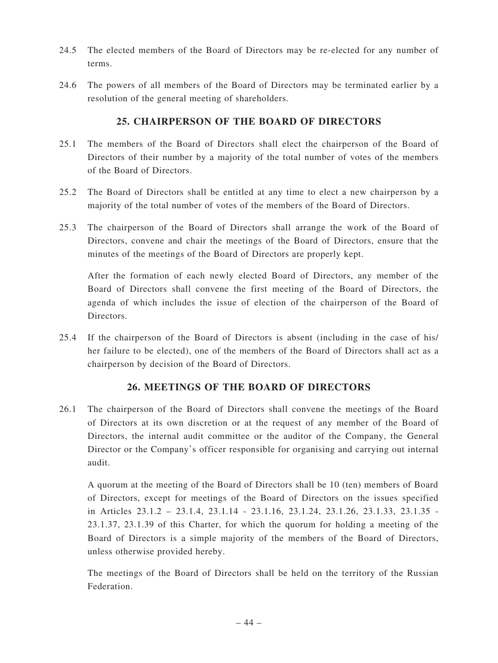- 24.5 The elected members of the Board of Directors may be re-elected for any number of terms.
- 24.6 The powers of all members of the Board of Directors may be terminated earlier by a resolution of the general meeting of shareholders.

# **25. CHAIRPERSON OF THE BOARD OF DIRECTORS**

- 25.1 The members of the Board of Directors shall elect the chairperson of the Board of Directors of their number by a majority of the total number of votes of the members of the Board of Directors.
- 25.2 The Board of Directors shall be entitled at any time to elect a new chairperson by a majority of the total number of votes of the members of the Board of Directors.
- 25.3 The chairperson of the Board of Directors shall arrange the work of the Board of Directors, convene and chair the meetings of the Board of Directors, ensure that the minutes of the meetings of the Board of Directors are properly kept.

 After the formation of each newly elected Board of Directors, any member of the Board of Directors shall convene the first meeting of the Board of Directors, the agenda of which includes the issue of election of the chairperson of the Board of Directors.

25.4 If the chairperson of the Board of Directors is absent (including in the case of his/ her failure to be elected), one of the members of the Board of Directors shall act as a chairperson by decision of the Board of Directors.

# **26. MEETINGS OF THE BOARD OF DIRECTORS**

26.1 The chairperson of the Board of Directors shall convene the meetings of the Board of Directors at its own discretion or at the request of any member of the Board of Directors, the internal audit committee or the auditor of the Company, the General Director or the Company's officer responsible for organising and carrying out internal audit.

 A quorum at the meeting of the Board of Directors shall be 10 (ten) members of Board of Directors, except for meetings of the Board of Directors on the issues specified in Articles 23.1.2 – 23.1.4, 23.1.14 - 23.1.16, 23.1.24, 23.1.26, 23.1.33, 23.1.35 - 23.1.37, 23.1.39 of this Charter, for which the quorum for holding a meeting of the Board of Directors is a simple majority of the members of the Board of Directors, unless otherwise provided hereby.

 The meetings of the Board of Directors shall be held on the territory of the Russian Federation.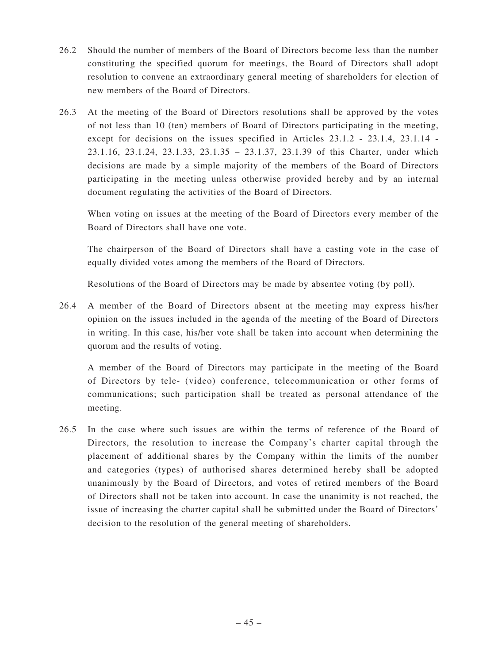- 26.2 Should the number of members of the Board of Directors become less than the number constituting the specified quorum for meetings, the Board of Directors shall adopt resolution to convene an extraordinary general meeting of shareholders for election of new members of the Board of Directors.
- 26.3 At the meeting of the Board of Directors resolutions shall be approved by the votes of not less than 10 (ten) members of Board of Directors participating in the meeting, except for decisions on the issues specified in Articles 23.1.2 - 23.1.4, 23.1.14 - 23.1.16, 23.1.24, 23.1.33, 23.1.35 – 23.1.37, 23.1.39 of this Charter, under which decisions are made by a simple majority of the members of the Board of Directors participating in the meeting unless otherwise provided hereby and by an internal document regulating the activities of the Board of Directors.

 When voting on issues at the meeting of the Board of Directors every member of the Board of Directors shall have one vote.

 The chairperson of the Board of Directors shall have a casting vote in the case of equally divided votes among the members of the Board of Directors.

Resolutions of the Board of Directors may be made by absentee voting (by poll).

26.4 A member of the Board of Directors absent at the meeting may express his/her opinion on the issues included in the agenda of the meeting of the Board of Directors in writing. In this case, his/her vote shall be taken into account when determining the quorum and the results of voting.

 A member of the Board of Directors may participate in the meeting of the Board of Directors by tele- (video) conference, telecommunication or other forms of communications; such participation shall be treated as personal attendance of the meeting.

26.5 In the case where such issues are within the terms of reference of the Board of Directors, the resolution to increase the Company's charter capital through the placement of additional shares by the Company within the limits of the number and categories (types) of authorised shares determined hereby shall be adopted unanimously by the Board of Directors, and votes of retired members of the Board of Directors shall not be taken into account. In case the unanimity is not reached, the issue of increasing the charter capital shall be submitted under the Board of Directors' decision to the resolution of the general meeting of shareholders.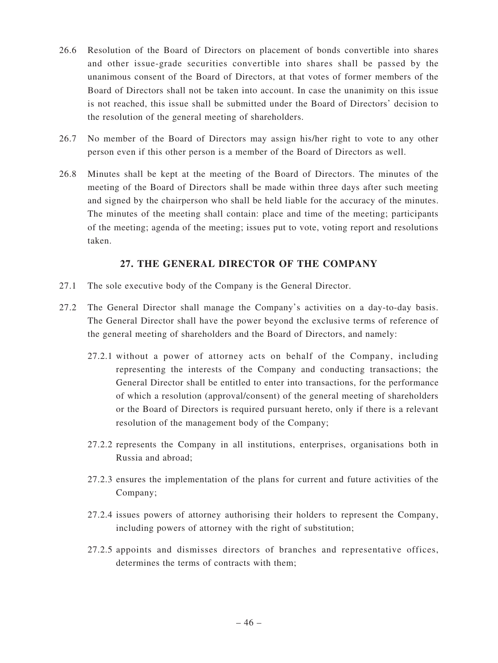- 26.6 Resolution of the Board of Directors on placement of bonds convertible into shares and other issue-grade securities convertible into shares shall be passed by the unanimous consent of the Board of Directors, at that votes of former members of the Board of Directors shall not be taken into account. In case the unanimity on this issue is not reached, this issue shall be submitted under the Board of Directors' decision to the resolution of the general meeting of shareholders.
- 26.7 No member of the Board of Directors may assign his/her right to vote to any other person even if this other person is a member of the Board of Directors as well.
- 26.8 Minutes shall be kept at the meeting of the Board of Directors. The minutes of the meeting of the Board of Directors shall be made within three days after such meeting and signed by the chairperson who shall be held liable for the accuracy of the minutes. The minutes of the meeting shall contain: place and time of the meeting; participants of the meeting; agenda of the meeting; issues put to vote, voting report and resolutions taken.

# **27. THE GENERAL DIRECTOR OF THE COMPANY**

- 27.1 The sole executive body of the Company is the General Director.
- 27.2 The General Director shall manage the Company's activities on a day-to-day basis. The General Director shall have the power beyond the exclusive terms of reference of the general meeting of shareholders and the Board of Directors, and namely:
	- 27.2.1 without a power of attorney acts on behalf of the Company, including representing the interests of the Company and conducting transactions; the General Director shall be entitled to enter into transactions, for the performance of which a resolution (approval/consent) of the general meeting of shareholders or the Board of Directors is required pursuant hereto, only if there is a relevant resolution of the management body of the Company;
	- 27.2.2 represents the Company in all institutions, enterprises, organisations both in Russia and abroad;
	- 27.2.3 ensures the implementation of the plans for current and future activities of the Company;
	- 27.2.4 issues powers of attorney authorising their holders to represent the Company, including powers of attorney with the right of substitution;
	- 27.2.5 appoints and dismisses directors of branches and representative offices, determines the terms of contracts with them;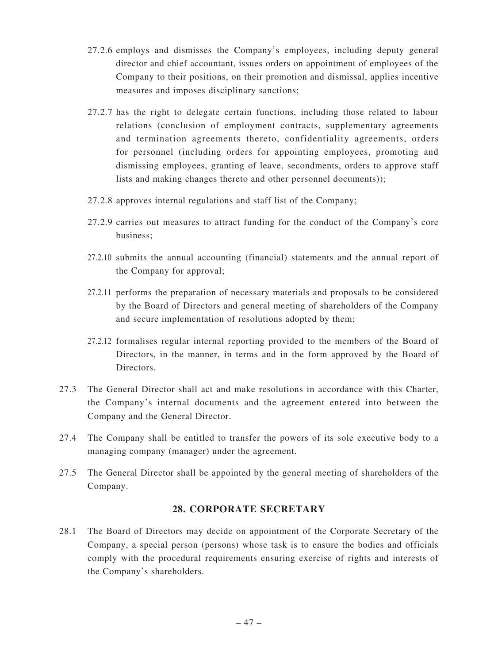- 27.2.6 employs and dismisses the Company's employees, including deputy general director and chief accountant, issues orders on appointment of employees of the Company to their positions, on their promotion and dismissal, applies incentive measures and imposes disciplinary sanctions;
- 27.2.7 has the right to delegate certain functions, including those related to labour relations (conclusion of employment contracts, supplementary agreements and termination agreements thereto, confidentiality agreements, orders for personnel (including orders for appointing employees, promoting and dismissing employees, granting of leave, secondments, orders to approve staff lists and making changes thereto and other personnel documents));
- 27.2.8 approves internal regulations and staff list of the Company;
- 27.2.9 carries out measures to attract funding for the conduct of the Company's core business;
- 27.2.10 submits the annual accounting (financial) statements and the annual report of the Company for approval;
- 27.2.11 performs the preparation of necessary materials and proposals to be considered by the Board of Directors and general meeting of shareholders of the Company and secure implementation of resolutions adopted by them;
- 27.2.12 formalises regular internal reporting provided to the members of the Board of Directors, in the manner, in terms and in the form approved by the Board of Directors.
- 27.3 The General Director shall act and make resolutions in accordance with this Charter, the Company's internal documents and the agreement entered into between the Company and the General Director.
- 27.4 The Company shall be entitled to transfer the powers of its sole executive body to a managing company (manager) under the agreement.
- 27.5 The General Director shall be appointed by the general meeting of shareholders of the Company.

## **28. CORPORATE SECRETARY**

28.1 The Board of Directors may decide on appointment of the Corporate Secretary of the Company, a special person (persons) whose task is to ensure the bodies and officials comply with the procedural requirements ensuring exercise of rights and interests of the Company's shareholders.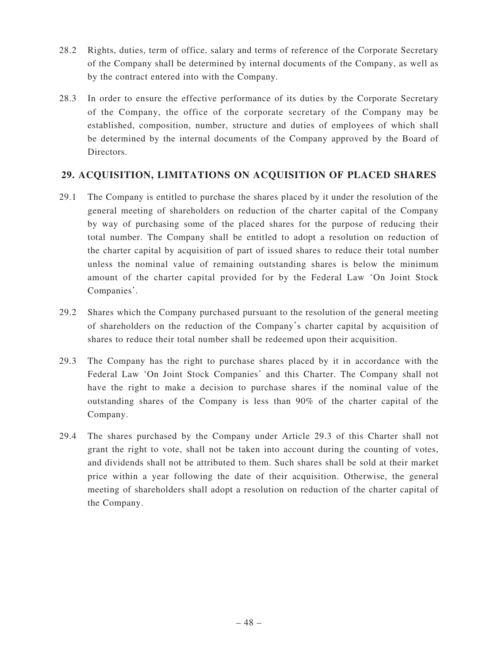- 28.2 Rights, duties, term of office, salary and terms of reference of the Corporate Secretary of the Company shall be determined by internal documents of the Company, as well as by the contract entered into with the Company.
- 28.3 In order to ensure the effective performance of its duties by the Corporate Secretary of the Company, the office of the corporate secretary of the Company may be established, composition, number, structure and duties of employees of which shall be determined by the internal documents of the Company approved by the Board of Directors.

# **29. ACQUISITION, LIMITATIONS ON ACQUISITION OF PLACED SHARES**

- 29.1 The Company is entitled to purchase the shares placed by it under the resolution of the general meeting of shareholders on reduction of the charter capital of the Company by way of purchasing some of the placed shares for the purpose of reducing their total number. The Company shall be entitled to adopt a resolution on reduction of the charter capital by acquisition of part of issued shares to reduce their total number unless the nominal value of remaining outstanding shares is below the minimum amount of the charter capital provided for by the Federal Law 'On Joint Stock Companies'.
- 29.2 Shares which the Company purchased pursuant to the resolution of the general meeting of shareholders on the reduction of the Company's charter capital by acquisition of shares to reduce their total number shall be redeemed upon their acquisition.
- 29.3 The Company has the right to purchase shares placed by it in accordance with the Federal Law 'On Joint Stock Companies' and this Charter. The Company shall not have the right to make a decision to purchase shares if the nominal value of the outstanding shares of the Company is less than 90% of the charter capital of the Company.
- 29.4 The shares purchased by the Company under Article 29.3 of this Charter shall not grant the right to vote, shall not be taken into account during the counting of votes, and dividends shall not be attributed to them. Such shares shall be sold at their market price within a year following the date of their acquisition. Otherwise, the general meeting of shareholders shall adopt a resolution on reduction of the charter capital of the Company.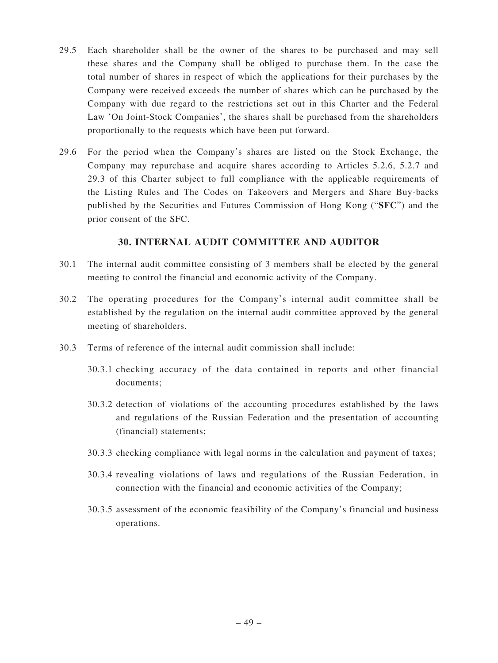- 29.5 Each shareholder shall be the owner of the shares to be purchased and may sell these shares and the Company shall be obliged to purchase them. In the case the total number of shares in respect of which the applications for their purchases by the Company were received exceeds the number of shares which can be purchased by the Company with due regard to the restrictions set out in this Charter and the Federal Law 'On Joint-Stock Companies', the shares shall be purchased from the shareholders proportionally to the requests which have been put forward.
- 29.6 For the period when the Company's shares are listed on the Stock Exchange, the Company may repurchase and acquire shares according to Articles 5.2.6, 5.2.7 and 29.3 of this Charter subject to full compliance with the applicable requirements of the Listing Rules and The Codes on Takeovers and Mergers and Share Buy-backs published by the Securities and Futures Commission of Hong Kong ("**SFC**") and the prior consent of the SFC.

# **30. INTERNAL AUDIT COMMITTEE AND AUDITOR**

- 30.1 The internal audit committee consisting of 3 members shall be elected by the general meeting to control the financial and economic activity of the Company.
- 30.2 The operating procedures for the Company's internal audit committee shall be established by the regulation on the internal audit committee approved by the general meeting of shareholders.
- 30.3 Terms of reference of the internal audit commission shall include:
	- 30.3.1 checking accuracy of the data contained in reports and other financial documents;
	- 30.3.2 detection of violations of the accounting procedures established by the laws and regulations of the Russian Federation and the presentation of accounting (financial) statements;
	- 30.3.3 checking compliance with legal norms in the calculation and payment of taxes;
	- 30.3.4 revealing violations of laws and regulations of the Russian Federation, in connection with the financial and economic activities of the Company;
	- 30.3.5 assessment of the economic feasibility of the Company's financial and business operations.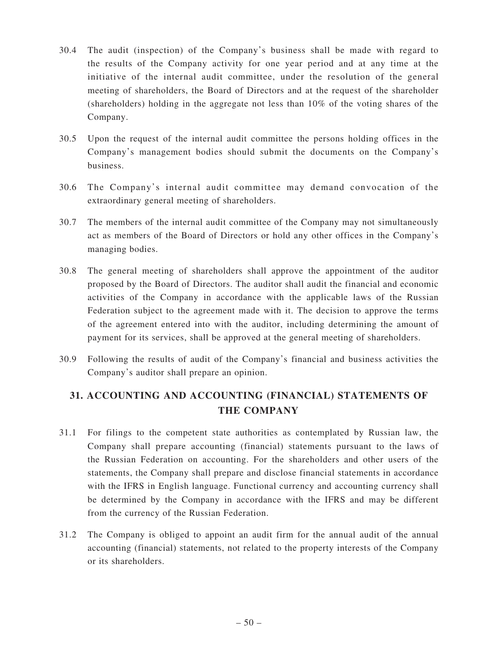- 30.4 The audit (inspection) of the Company's business shall be made with regard to the results of the Company activity for one year period and at any time at the initiative of the internal audit committee, under the resolution of the general meeting of shareholders, the Board of Directors and at the request of the shareholder (shareholders) holding in the aggregate not less than 10% of the voting shares of the Company.
- 30.5 Upon the request of the internal audit committee the persons holding offices in the Company's management bodies should submit the documents on the Company's business.
- 30.6 The Company's internal audit committee may demand convocation of the extraordinary general meeting of shareholders.
- 30.7 The members of the internal audit committee of the Company may not simultaneously act as members of the Board of Directors or hold any other offices in the Company's managing bodies.
- 30.8 The general meeting of shareholders shall approve the appointment of the auditor proposed by the Board of Directors. The auditor shall audit the financial and economic activities of the Company in accordance with the applicable laws of the Russian Federation subject to the agreement made with it. The decision to approve the terms of the agreement entered into with the auditor, including determining the amount of payment for its services, shall be approved at the general meeting of shareholders.
- 30.9 Following the results of audit of the Company's financial and business activities the Company's auditor shall prepare an opinion.

# **31. ACCOUNTING AND ACCOUNTING (FINANCIAL) STATEMENTS OF THE COMPANY**

- 31.1 For filings to the competent state authorities as contemplated by Russian law, the Company shall prepare accounting (financial) statements pursuant to the laws of the Russian Federation on accounting. For the shareholders and other users of the statements, the Company shall prepare and disclose financial statements in accordance with the IFRS in English language. Functional currency and accounting currency shall be determined by the Company in accordance with the IFRS and may be different from the currency of the Russian Federation.
- 31.2 The Company is obliged to appoint an audit firm for the annual audit of the annual accounting (financial) statements, not related to the property interests of the Company or its shareholders.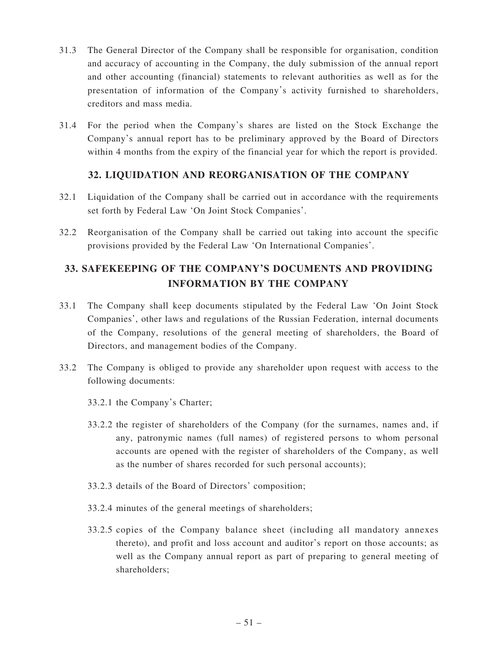- 31.3 The General Director of the Company shall be responsible for organisation, condition and accuracy of accounting in the Company, the duly submission of the annual report and other accounting (financial) statements to relevant authorities as well as for the presentation of information of the Company's activity furnished to shareholders, creditors and mass media.
- 31.4 For the period when the Company's shares are listed on the Stock Exchange the Company's annual report has to be preliminary approved by the Board of Directors within 4 months from the expiry of the financial year for which the report is provided.

# **32. LIQUIDATION AND REORGANISATION OF THE COMPANY**

- 32.1 Liquidation of the Company shall be carried out in accordance with the requirements set forth by Federal Law 'On Joint Stock Companies'.
- 32.2 Reorganisation of the Company shall be carried out taking into account the specific provisions provided by the Federal Law 'On International Companies'.

# **33. SAFEKEEPING OF THE COMPANY'S DOCUMENTS AND PROVIDING INFORMATION BY THE COMPANY**

- 33.1 The Company shall keep documents stipulated by the Federal Law 'On Joint Stock Companies', other laws and regulations of the Russian Federation, internal documents of the Company, resolutions of the general meeting of shareholders, the Board of Directors, and management bodies of the Company.
- 33.2 The Company is obliged to provide any shareholder upon request with access to the following documents:
	- 33.2.1 the Company's Charter;
	- 33.2.2 the register of shareholders of the Company (for the surnames, names and, if any, patronymic names (full names) of registered persons to whom personal accounts are opened with the register of shareholders of the Company, as well as the number of shares recorded for such personal accounts);
	- 33.2.3 details of the Board of Directors' composition;
	- 33.2.4 minutes of the general meetings of shareholders;
	- 33.2.5 copies of the Company balance sheet (including all mandatory annexes thereto), and profit and loss account and auditor's report on those accounts; as well as the Company annual report as part of preparing to general meeting of shareholders;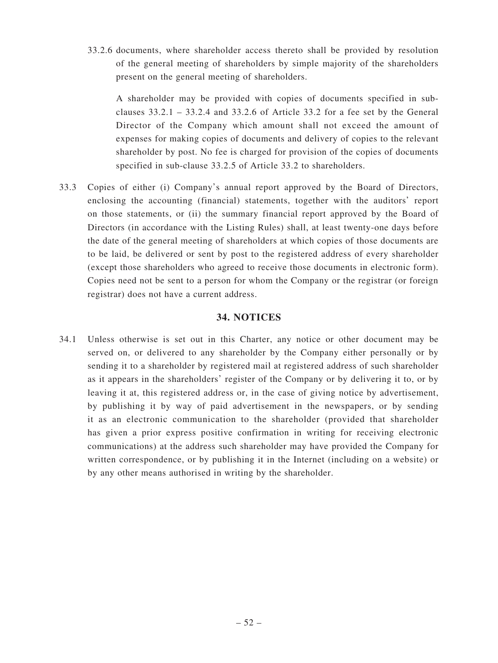33.2.6 documents, where shareholder access thereto shall be provided by resolution of the general meeting of shareholders by simple majority of the shareholders present on the general meeting of shareholders.

 A shareholder may be provided with copies of documents specified in subclauses  $33.2.1 - 33.2.4$  and  $33.2.6$  of Article 33.2 for a fee set by the General Director of the Company which amount shall not exceed the amount of expenses for making copies of documents and delivery of copies to the relevant shareholder by post. No fee is charged for provision of the copies of documents specified in sub-clause 33.2.5 of Article 33.2 to shareholders.

33.3 Copies of either (i) Company's annual report approved by the Board of Directors, enclosing the accounting (financial) statements, together with the auditors' report on those statements, or (ii) the summary financial report approved by the Board of Directors (in accordance with the Listing Rules) shall, at least twenty-one days before the date of the general meeting of shareholders at which copies of those documents are to be laid, be delivered or sent by post to the registered address of every shareholder (except those shareholders who agreed to receive those documents in electronic form). Copies need not be sent to a person for whom the Company or the registrar (or foreign registrar) does not have a current address.

#### **34. NOTICES**

34.1 Unless otherwise is set out in this Charter, any notice or other document may be served on, or delivered to any shareholder by the Company either personally or by sending it to a shareholder by registered mail at registered address of such shareholder as it appears in the shareholders' register of the Company or by delivering it to, or by leaving it at, this registered address or, in the case of giving notice by advertisement, by publishing it by way of paid advertisement in the newspapers, or by sending it as an electronic communication to the shareholder (provided that shareholder has given a prior express positive confirmation in writing for receiving electronic communications) at the address such shareholder may have provided the Company for written correspondence, or by publishing it in the Internet (including on a website) or by any other means authorised in writing by the shareholder.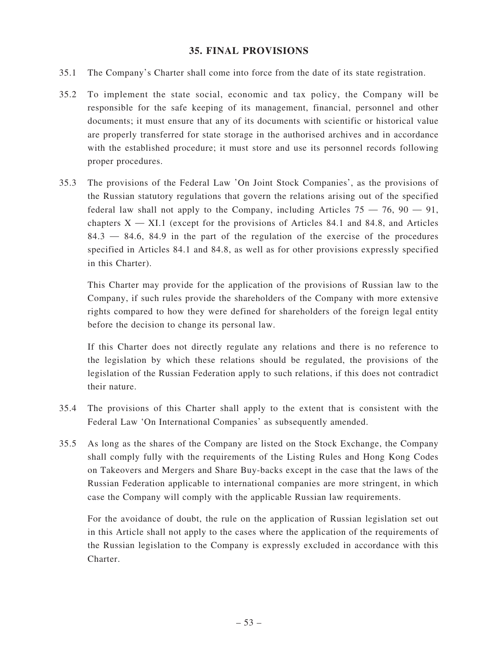#### **35. FINAL PROVISIONS**

- 35.1 The Company's Charter shall come into force from the date of its state registration.
- 35.2 To implement the state social, economic and tax policy, the Company will be responsible for the safe keeping of its management, financial, personnel and other documents; it must ensure that any of its documents with scientific or historical value are properly transferred for state storage in the authorised archives and in accordance with the established procedure; it must store and use its personnel records following proper procedures.
- 35.3 The provisions of the Federal Law 'On Joint Stock Companies', as the provisions of the Russian statutory regulations that govern the relations arising out of the specified federal law shall not apply to the Company, including Articles  $75 - 76$ ,  $90 - 91$ , chapters  $X - XI.1$  (except for the provisions of Articles 84.1 and 84.8, and Articles  $84.3 - 84.6$ ,  $84.9$  in the part of the regulation of the exercise of the procedures specified in Articles 84.1 and 84.8, as well as for other provisions expressly specified in this Charter).

 This Charter may provide for the application of the provisions of Russian law to the Company, if such rules provide the shareholders of the Company with more extensive rights compared to how they were defined for shareholders of the foreign legal entity before the decision to change its personal law.

 If this Charter does not directly regulate any relations and there is no reference to the legislation by which these relations should be regulated, the provisions of the legislation of the Russian Federation apply to such relations, if this does not contradict their nature.

- 35.4 The provisions of this Charter shall apply to the extent that is consistent with the Federal Law 'On International Companies' as subsequently amended.
- 35.5 As long as the shares of the Company are listed on the Stock Exchange, the Company shall comply fully with the requirements of the Listing Rules and Hong Kong Codes on Takeovers and Mergers and Share Buy-backs except in the case that the laws of the Russian Federation applicable to international companies are more stringent, in which case the Company will comply with the applicable Russian law requirements.

 For the avoidance of doubt, the rule on the application of Russian legislation set out in this Article shall not apply to the cases where the application of the requirements of the Russian legislation to the Company is expressly excluded in accordance with this Charter.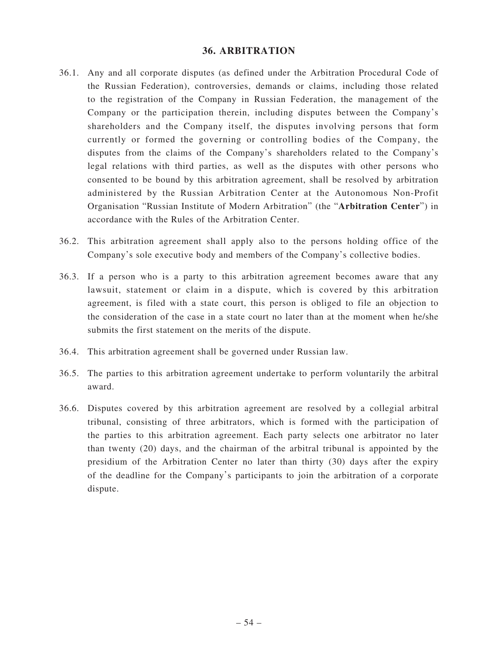#### **36. ARBITRATION**

- 36.1. Any and all corporate disputes (as defined under the Arbitration Procedural Code of the Russian Federation), controversies, demands or claims, including those related to the registration of the Company in Russian Federation, the management of the Company or the participation therein, including disputes between the Company's shareholders and the Company itself, the disputes involving persons that form currently or formed the governing or controlling bodies of the Company, the disputes from the claims of the Company's shareholders related to the Company's legal relations with third parties, as well as the disputes with other persons who consented to be bound by this arbitration agreement, shall be resolved by arbitration administered by the Russian Arbitration Center at the Autonomous Non-Profit Organisation "Russian Institute of Modern Arbitration" (the "**Arbitration Center**") in accordance with the Rules of the Arbitration Center.
- 36.2. This arbitration agreement shall apply also to the persons holding office of the Company's sole executive body and members of the Company's collective bodies.
- 36.3. If a person who is a party to this arbitration agreement becomes aware that any lawsuit, statement or claim in a dispute, which is covered by this arbitration agreement, is filed with a state court, this person is obliged to file an objection to the consideration of the case in a state court no later than at the moment when he/she submits the first statement on the merits of the dispute.
- 36.4. This arbitration agreement shall be governed under Russian law.
- 36.5. The parties to this arbitration agreement undertake to perform voluntarily the arbitral award.
- 36.6. Disputes covered by this arbitration agreement are resolved by a collegial arbitral tribunal, consisting of three arbitrators, which is formed with the participation of the parties to this arbitration agreement. Each party selects one arbitrator no later than twenty (20) days, and the chairman of the arbitral tribunal is appointed by the presidium of the Arbitration Center no later than thirty (30) days after the expiry of the deadline for the Company's participants to join the arbitration of a corporate dispute.